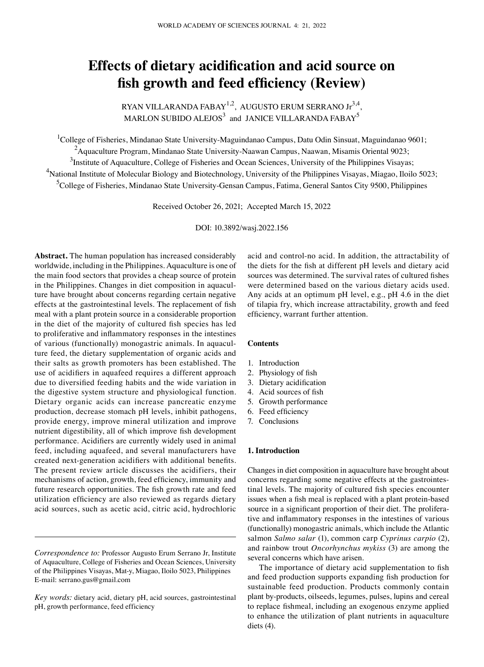# **Effects of dietary acidification and acid source on fish growth and feed efficiency (Review)**

RYAN VILLARANDA FABAY $^{1,2}$ , AUGUSTO ERUM SERRANO J $r^{3,4}$ , MARLON SUBIDO ALEJOS $^3$  and JANICE VILLARANDA FABAY $^5$ 

<sup>1</sup>College of Fisheries, Mindanao State University-Maguindanao Campus, Datu Odin Sinsuat, Maguindanao 9601; <sup>2</sup> Aquaculture Program, Mindanao State University-Naawan Campus, Naawan, Misamis Oriental 9023; <sup>3</sup>Institute of Aquaculture, College of Fisheries and Ocean Sciences, University of the Philippines Visayas; <sup>4</sup>National Institute of Molecular Biology and Biotechnology, University of the Philippines Visayas, Miagao, Iloilo 5023; <sup>5</sup>College of Fisheries, Mindanao State University-Gensan Campus, Fatima, General Santos City 9500, Philippines

Received October 26, 2021; Accepted March 15, 2022

DOI: 10.3892/wasj.2022.156

**Abstract.** The human population has increased considerably worldwide, including in the Philippines. Aquaculture is one of the main food sectors that provides a cheap source of protein in the Philippines. Changes in diet composition in aquaculture have brought about concerns regarding certain negative effects at the gastrointestinal levels. The replacement of fish meal with a plant protein source in a considerable proportion in the diet of the majority of cultured fish species has led to proliferative and inflammatory responses in the intestines of various (functionally) monogastric animals. In aquaculture feed, the dietary supplementation of organic acids and their salts as growth promoters has been established. The use of acidifiers in aquafeed requires a different approach due to diversified feeding habits and the wide variation in the digestive system structure and physiological function. Dietary organic acids can increase pancreatic enzyme production, decrease stomach pH levels, inhibit pathogens, provide energy, improve mineral utilization and improve nutrient digestibility, all of which improve fish development performance. Acidifiers are currently widely used in animal feed, including aquafeed, and several manufacturers have created next‑generation acidifiers with additional benefits. The present review article discusses the acidifiers, their mechanisms of action, growth, feed efficiency, immunity and future research opportunities. The fish growth rate and feed utilization efficiency are also reviewed as regards dietary acid sources, such as acetic acid, citric acid, hydrochloric acid and control‑no acid. In addition, the attractability of the diets for the fish at different pH levels and dietary acid sources was determined. The survival rates of cultured fishes were determined based on the various dietary acids used. Any acids at an optimum pH level, e.g., pH 4.6 in the diet of tilapia fry, which increase attractability, growth and feed efficiency, warrant further attention.

## **Contents**

- 1. Introduction
- 2. Physiology of fish
- 3. Dietary acidification
- 4. Acid sources of fish
- 5. Growth performance
- 6. Feed efficiency
- 7. Conclusions

## **1. Introduction**

Changes in diet composition in aquaculture have brought about concerns regarding some negative effects at the gastrointestinal levels. The majority of cultured fish species encounter issues when a fish meal is replaced with a plant protein-based source in a significant proportion of their diet. The proliferative and inflammatory responses in the intestines of various (functionally) monogastric animals, which include the Atlantic salmon *Salmo salar* (1), common carp *Cyprinus carpio* (2), and rainbow trout *Oncorhynchus mykiss* (3) are among the several concerns which have arisen.

The importance of dietary acid supplementation to fish and feed production supports expanding fish production for sustainable feed production. Products commonly contain plant by‑products, oilseeds, legumes, pulses, lupins and cereal to replace fishmeal, including an exogenous enzyme applied to enhance the utilization of plant nutrients in aquaculture diets (4).

*Correspondence to:* Professor Augusto Erum Serrano Jr, Institute of Aquaculture, College of Fisheries and Ocean Sciences, University of the Philippines Visayas, Mat‑y, Miagao, Iloilo 5023, Philippines E‑mail: serrano.gus@gmail.com

*Key words:* dietary acid, dietary pH, acid sources, gastrointestinal pH, growth performance, feed efficiency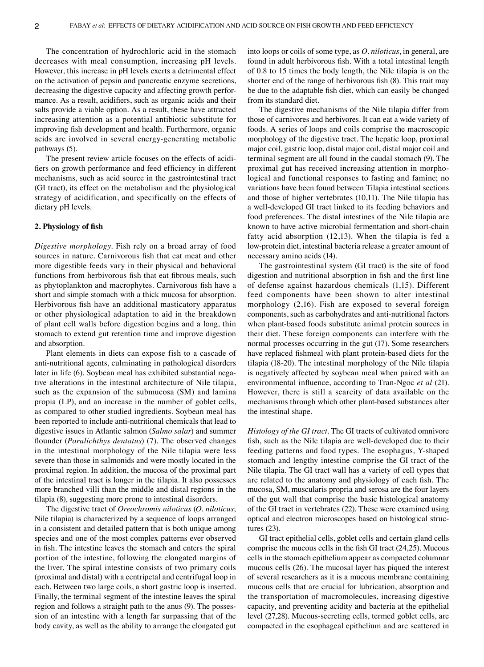The concentration of hydrochloric acid in the stomach decreases with meal consumption, increasing pH levels. However, this increase in pH levels exerts a detrimental effect on the activation of pepsin and pancreatic enzyme secretions, decreasing the digestive capacity and affecting growth performance. As a result, acidifiers, such as organic acids and their salts provide a viable option. As a result, these have attracted increasing attention as a potential antibiotic substitute for improving fish development and health. Furthermore, organic acids are involved in several energy‑generating metabolic pathways (5).

The present review article focuses on the effects of acidifiers on growth performance and feed efficiency in different mechanisms, such as acid source in the gastrointestinal tract (GI tract), its effect on the metabolism and the physiological strategy of acidification, and specifically on the effects of dietary pH levels.

## **2. Physiology of fish**

*Digestive morphology.* Fish rely on a broad array of food sources in nature. Carnivorous fish that eat meat and other more digestible feeds vary in their physical and behavioral functions from herbivorous fish that eat fibrous meals, such as phytoplankton and macrophytes. Carnivorous fish have a short and simple stomach with a thick mucosa for absorption. Herbivorous fish have an additional masticatory apparatus or other physiological adaptation to aid in the breakdown of plant cell walls before digestion begins and a long, thin stomach to extend gut retention time and improve digestion and absorption.

Plant elements in diets can expose fish to a cascade of anti-nutritional agents, culminating in pathological disorders later in life (6). Soybean meal has exhibited substantial negative alterations in the intestinal architecture of Nile tilapia, such as the expansion of the submucosa (SM) and lamina propia (LP), and an increase in the number of goblet cells, as compared to other studied ingredients. Soybean meal has been reported to include anti‑nutritional chemicals that lead to digestive issues in Atlantic salmon (*Salmo salar*) and summer flounder (*Paralichthys dentatus*) (7). The observed changes in the intestinal morphology of the Nile tilapia were less severe than those in salmonids and were mostly located in the proximal region. In addition, the mucosa of the proximal part of the intestinal tract is longer in the tilapia. It also possesses more branched villi than the middle and distal regions in the tilapia (8), suggesting more prone to intestinal disorders.

The digestive tract of *Oreochromis niloticus* (*O. niloticus*; Nile tilapia) is characterized by a sequence of loops arranged in a consistent and detailed pattern that is both unique among species and one of the most complex patterns ever observed in fish. The intestine leaves the stomach and enters the spiral portion of the intestine, following the elongated margins of the liver. The spiral intestine consists of two primary coils (proximal and distal) with a centripetal and centrifugal loop in each. Between two large coils, a short gastric loop is inserted. Finally, the terminal segment of the intestine leaves the spiral region and follows a straight path to the anus (9). The possession of an intestine with a length far surpassing that of the body cavity, as well as the ability to arrange the elongated gut into loops or coils of some type, as *O. niloticus*, in general, are found in adult herbivorous fish. With a total intestinal length of 0.8 to 15 times the body length, the Nile tilapia is on the shorter end of the range of herbivorous fish (8). This trait may be due to the adaptable fish diet, which can easily be changed from its standard diet.

The digestive mechanisms of the Nile tilapia differ from those of carnivores and herbivores. It can eat a wide variety of foods. A series of loops and coils comprise the macroscopic morphology of the digestive tract. The hepatic loop, proximal major coil, gastric loop, distal major coil, distal major coil and terminal segment are all found in the caudal stomach (9). The proximal gut has received increasing attention in morphological and functional responses to fasting and famine; no variations have been found between Tilapia intestinal sections and those of higher vertebrates (10,11). The Nile tilapia has a well-developed GI tract linked to its feeding behaviors and food preferences. The distal intestines of the Nile tilapia are known to have active microbial fermentation and short-chain fatty acid absorption (12,13). When the tilapia is fed a low‑protein diet, intestinal bacteria release a greater amount of necessary amino acids (14).

The gastrointestinal system (GI tract) is the site of food digestion and nutritional absorption in fish and the first line of defense against hazardous chemicals (1,15). Different feed components have been shown to alter intestinal morphology (2,16). Fish are exposed to several foreign components, such as carbohydrates and anti‑nutritional factors when plant-based foods substitute animal protein sources in their diet. These foreign components can interfere with the normal processes occurring in the gut (17). Some researchers have replaced fishmeal with plant protein-based diets for the tilapia (18‑20). The intestinal morphology of the Nile tilapia is negatively affected by soybean meal when paired with an environmental influence, according to Tran‑Ngoc *et al* (21). However, there is still a scarcity of data available on the mechanisms through which other plant-based substances alter the intestinal shape.

*Histology of the GI tract.* The GI tracts of cultivated omnivore fish, such as the Nile tilapia are well‑developed due to their feeding patterns and food types. The esophagus, Y‑shaped stomach and lengthy intestine comprise the GI tract of the Nile tilapia. The GI tract wall has a variety of cell types that are related to the anatomy and physiology of each fish. The mucosa, SM, muscularis propria and serosa are the four layers of the gut wall that comprise the basic histological anatomy of the GI tract in vertebrates (22). These were examined using optical and electron microscopes based on histological structures (23).

GI tract epithelial cells, goblet cells and certain gland cells comprise the mucous cells in the fish GI tract (24,25). Mucous cells in the stomach epithelium appear as compacted columnar mucous cells (26). The mucosal layer has piqued the interest of several researchers as it is a mucous membrane containing mucous cells that are crucial for lubrication, absorption and the transportation of macromolecules, increasing digestive capacity, and preventing acidity and bacteria at the epithelial level (27,28). Mucous‑secreting cells, termed goblet cells, are compacted in the esophageal epithelium and are scattered in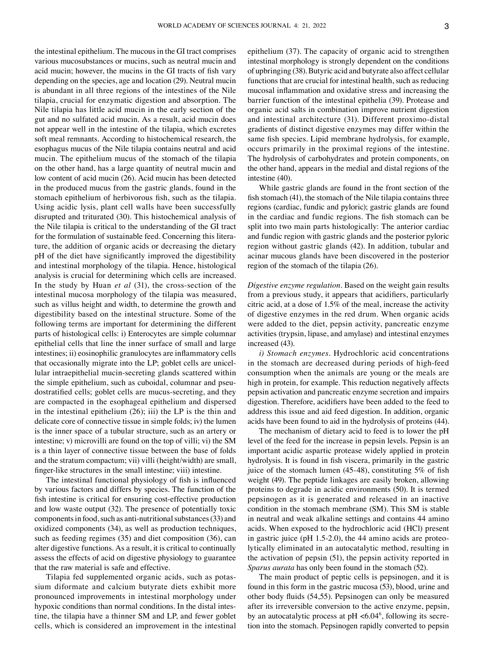the intestinal epithelium. The mucous in the GI tract comprises various mucosubstances or mucins, such as neutral mucin and acid mucin; however, the mucins in the GI tracts of fish vary depending on the species, age and location (29). Neutral mucin is abundant in all three regions of the intestines of the Nile tilapia, crucial for enzymatic digestion and absorption. The Nile tilapia has little acid mucin in the early section of the gut and no sulfated acid mucin. As a result, acid mucin does not appear well in the intestine of the tilapia, which excretes soft meal remnants. According to histochemical research, the esophagus mucus of the Nile tilapia contains neutral and acid mucin. The epithelium mucus of the stomach of the tilapia on the other hand, has a large quantity of neutral mucin and low content of acid mucin (26). Acid mucin has been detected in the produced mucus from the gastric glands, found in the stomach epithelium of herbivorous fish, such as the tilapia. Using acidic lysis, plant cell walls have been successfully disrupted and triturated (30). This histochemical analysis of the Nile tilapia is critical to the understanding of the GI tract for the formulation of sustainable feed. Concerning this literature, the addition of organic acids or decreasing the dietary pH of the diet have significantly improved the digestibility and intestinal morphology of the tilapia. Hence, histological analysis is crucial for determining which cells are increased. In the study by Huan *et al* (31), the cross‑section of the intestinal mucosa morphology of the tilapia was measured, such as villus height and width, to determine the growth and digestibility based on the intestinal structure. Some of the following terms are important for determining the different parts of histological cells: i) Enterocytes are simple columnar epithelial cells that line the inner surface of small and large intestines; ii) eosinophilic granulocytes are inflammatory cells that occasionally migrate into the LP; goblet cells are unicellular intraepithelial mucin‑secreting glands scattered within the simple epithelium, such as cuboidal, columnar and pseudostratified cells; goblet cells are mucus‑secreting, and they are compacted in the esophageal epithelium and dispersed in the intestinal epithelium (26); iii) the LP is the thin and delicate core of connective tissue in simple folds; iv) the lumen is the inner space of a tubular structure, such as an artery or intestine; v) microvilli are found on the top of villi; vi) the SM is a thin layer of connective tissue between the base of folds and the stratum compactum; vii) villi (height/width) are small, finger-like structures in the small intestine; viii) intestine.

The intestinal functional physiology of fish is influenced by various factors and differs by species. The function of the fish intestine is critical for ensuring cost-effective production and low waste output (32). The presence of potentially toxic components in food, such as anti‑nutritional substances(33) and oxidized components (34), as well as production techniques, such as feeding regimes (35) and diet composition (36), can alter digestive functions. As a result, it is critical to continually assess the effects of acid on digestive physiology to guarantee that the raw material is safe and effective.

Tilapia fed supplemented organic acids, such as potas‑ sium diformate and calcium butyrate diets exhibit more pronounced improvements in intestinal morphology under hypoxic conditions than normal conditions. In the distal intestine, the tilapia have a thinner SM and LP, and fewer goblet cells, which is considered an improvement in the intestinal epithelium (37). The capacity of organic acid to strengthen intestinal morphology is strongly dependent on the conditions of upbringing (38). Butyric acid and butyrate also affect cellular functions that are crucial for intestinal health, such as reducing mucosal inflammation and oxidative stress and increasing the barrier function of the intestinal epithelia (39). Protease and organic acid salts in combination improve nutrient digestion and intestinal architecture (31). Different proximo-distal gradients of distinct digestive enzymes may differ within the same fish species. Lipid membrane hydrolysis, for example, occurs primarily in the proximal regions of the intestine. The hydrolysis of carbohydrates and protein components, on the other hand, appears in the medial and distal regions of the intestine (40).

While gastric glands are found in the front section of the fish stomach (41), the stomach of the Nile tilapia contains three regions (cardiac, fundic and pyloric); gastric glands are found in the cardiac and fundic regions. The fish stomach can be split into two main parts histologically: The anterior cardiac and fundic region with gastric glands and the posterior pyloric region without gastric glands (42). In addition, tubular and acinar mucous glands have been discovered in the posterior region of the stomach of the tilapia (26).

*Digestive enzyme regulation.* Based on the weight gain results from a previous study, it appears that acidifiers, particularly citric acid, at a dose of 1.5% of the meal, increase the activity of digestive enzymes in the red drum. When organic acids were added to the diet, pepsin activity, pancreatic enzyme activities (trypsin, lipase, and amylase) and intestinal enzymes increased (43).

*i) Stomach enzymes.* Hydrochloric acid concentrations in the stomach are decreased during periods of high-feed consumption when the animals are young or the meals are high in protein, for example. This reduction negatively affects pepsin activation and pancreatic enzyme secretion and impairs digestion. Therefore, acidifiers have been added to the feed to address this issue and aid feed digestion. In addition, organic acids have been found to aid in the hydrolysis of proteins (44).

The mechanism of dietary acid to feed is to lower the pH level of the feed for the increase in pepsin levels. Pepsin is an important acidic aspartic protease widely applied in protein hydrolysis. It is found in fish viscera, primarily in the gastric juice of the stomach lumen (45‑48), constituting 5% of fish weight (49). The peptide linkages are easily broken, allowing proteins to degrade in acidic environments (50). It is termed pepsinogen as it is generated and released in an inactive condition in the stomach membrane (SM). This SM is stable in neutral and weak alkaline settings and contains 44 amino acids. When exposed to the hydrochloric acid (HCl) present in gastric juice (pH 1.5-2.0), the 44 amino acids are proteolytically eliminated in an autocatalytic method, resulting in the activation of pepsin (51), the pepsin activity reported in *Sparus aurata* has only been found in the stomach (52).

The main product of peptic cells is pepsinogen, and it is found in this form in the gastric mucosa (53), blood, urine and other body fluids (54,55). Pepsinogen can only be measured after its irreversible conversion to the active enzyme, pepsin, by an autocatalytic process at pH <6.04<sup>6</sup>, following its secretion into the stomach. Pepsinogen rapidly converted to pepsin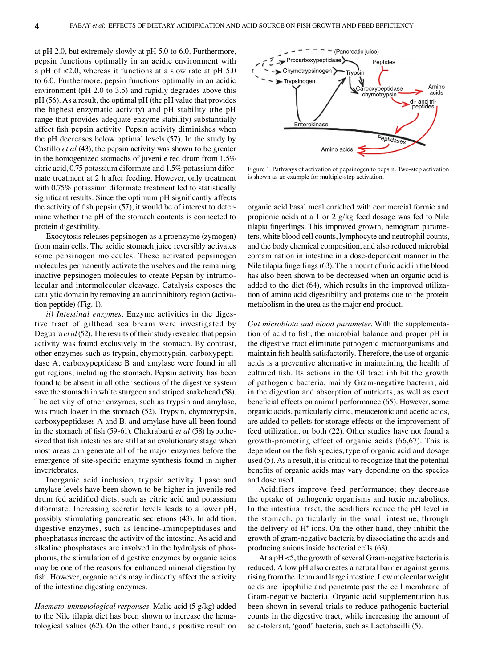at pH 2.0, but extremely slowly at pH 5.0 to 6.0. Furthermore, pepsin functions optimally in an acidic environment with a pH of  $\leq 2.0$ , whereas it functions at a slow rate at pH 5.0 to 6.0. Furthermore, pepsin functions optimally in an acidic environment (pH 2.0 to 3.5) and rapidly degrades above this pH (56). As a result, the optimal pH (the pH value that provides the highest enzymatic activity) and pH stability (the pH range that provides adequate enzyme stability) substantially affect fish pepsin activity. Pepsin activity diminishes when the pH decreases below optimal levels (57). In the study by Castillo *et al* (43), the pepsin activity was shown to be greater in the homogenized stomachs of juvenile red drum from 1.5% citric acid, 0.75 potassium diformate and 1.5% potassium diformate treatment at 2 h after feeding. However, only treatment with 0.75% potassium diformate treatment led to statistically significant results. Since the optimum pH significantly affects the activity of fish pepsin (57), it would be of interest to determine whether the pH of the stomach contents is connected to protein digestibility.

Exocytosis releases pepsinogen as a proenzyme (zymogen) from main cells. The acidic stomach juice reversibly activates some pepsinogen molecules. These activated pepsinogen molecules permanently activate themselves and the remaining inactive pepsinogen molecules to create Pepsin by intramolecular and intermolecular cleavage. Catalysis exposes the catalytic domain by removing an autoinhibitory region (activation peptide) (Fig. 1).

*ii) Intestinal enzymes*. Enzyme activities in the digestive tract of gilthead sea bream were investigated by Deguara *et al*(52). The results of their study revealed that pepsin activity was found exclusively in the stomach. By contrast, other enzymes such as trypsin, chymotrypsin, carboxypeptidase A, carboxypeptidase B and amylase were found in all gut regions, including the stomach. Pepsin activity has been found to be absent in all other sections of the digestive system save the stomach in white sturgeon and striped snakehead (58). The activity of other enzymes, such as trypsin and amylase, was much lower in the stomach (52). Trypsin, chymotrypsin, carboxypeptidases A and B, and amylase have all been found in the stomach of fish (59-61). Chakrabarti *et al* (58) hypothesized that fish intestines are still at an evolutionary stage when most areas can generate all of the major enzymes before the emergence of site-specific enzyme synthesis found in higher invertebrates.

Inorganic acid inclusion, trypsin activity, lipase and amylase levels have been shown to be higher in juvenile red drum fed acidified diets, such as citric acid and potassium diformate. Increasing secretin levels leads to a lower pH, possibly stimulating pancreatic secretions (43). In addition, digestive enzymes, such as leucine‑aminopeptidases and phosphatases increase the activity of the intestine. As acid and alkaline phosphatases are involved in the hydrolysis of phosphorus, the stimulation of digestive enzymes by organic acids may be one of the reasons for enhanced mineral digestion by fish. However, organic acids may indirectly affect the activity of the intestine digesting enzymes.

*Haemato‑immunological responses.* Malic acid (5 g/kg) added to the Nile tilapia diet has been shown to increase the hematological values (62). On the other hand, a positive result on



Figure 1. Pathways of activation of pepsinogen to pepsin. Two-step activation is shown as an example for multiple‑step activation.

organic acid basal meal enriched with commercial formic and propionic acids at a 1 or 2 g/kg feed dosage was fed to Nile tilapia fingerlings. This improved growth, hemogram parame‑ ters, white blood cell counts, lymphocyte and neutrophil counts, and the body chemical composition, and also reduced microbial contamination in intestine in a dose‑dependent manner in the Nile tilapia fingerlings(63). The amount of uric acid in the blood has also been shown to be decreased when an organic acid is added to the diet (64), which results in the improved utilization of amino acid digestibility and proteins due to the protein metabolism in the urea as the major end product.

*Gut microbiota and blood parameter.* With the supplementation of acid to fish, the microbial balance and proper pH in the digestive tract eliminate pathogenic microorganisms and maintain fish health satisfactorily. Therefore, the use of organic acids is a preventive alternative in maintaining the health of cultured fish. Its actions in the GI tract inhibit the growth of pathogenic bacteria, mainly Gram‑negative bacteria, aid in the digestion and absorption of nutrients, as well as exert beneficial effects on animal performance (65). However, some organic acids, particularly citric, metacetonic and acetic acids, are added to pellets for storage effects or the improvement of feed utilization, or both (22). Other studies have not found a growth‑promoting effect of organic acids (66,67). This is dependent on the fish species, type of organic acid and dosage used (5). As a result, it is critical to recognize that the potential benefits of organic acids may vary depending on the species and dose used.

Acidifiers improve feed performance; they decrease the uptake of pathogenic organisms and toxic metabolites. In the intestinal tract, the acidifiers reduce the pH level in the stomach, particularly in the small intestine, through the delivery of H+ ions. On the other hand, they inhibit the growth of gram‑negative bacteria by dissociating the acids and producing anions inside bacterial cells (68).

At a pH <5, the growth of several Gram-negative bacteria is reduced. A low pH also creates a natural barrier against germs rising from the ileum and large intestine. Low molecular weight acids are lipophilic and penetrate past the cell membrane of Gram‑negative bacteria. Organic acid supplementation has been shown in several trials to reduce pathogenic bacterial counts in the digestive tract, while increasing the amount of acid‑tolerant, 'good' bacteria, such as Lactobacilli (5).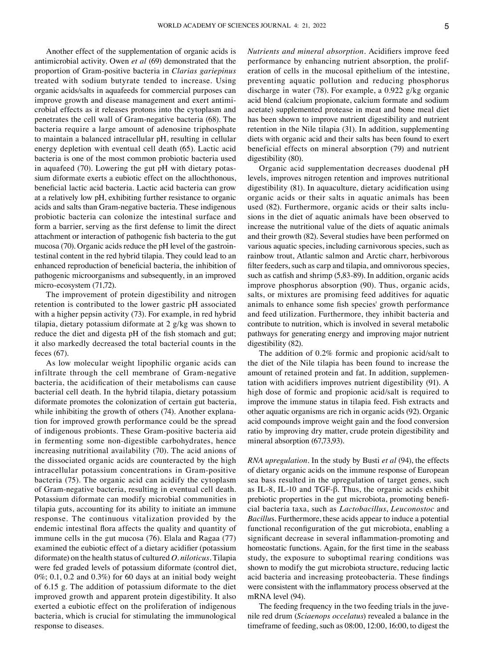Another effect of the supplementation of organic acids is antimicrobial activity. Owen *et al* (69) demonstrated that the proportion of Gram‑positive bacteria in *Clarias gariepinus* treated with sodium butyrate tended to increase. Using organic acids/salts in aquafeeds for commercial purposes can improve growth and disease management and exert antimicrobial effects as it releases protons into the cytoplasm and penetrates the cell wall of Gram‑negative bacteria (68). The bacteria require a large amount of adenosine triphosphate to maintain a balanced intracellular pH, resulting in cellular energy depletion with eventual cell death (65). Lactic acid bacteria is one of the most common probiotic bacteria used in aquafeed (70). Lowering the gut pH with dietary potassium diformate exerts a eubiotic effect on the allochthonous, beneficial lactic acid bacteria. Lactic acid bacteria can grow at a relatively low pH, exhibiting further resistance to organic acids and salts than Gram‑negative bacteria. These indigenous probiotic bacteria can colonize the intestinal surface and form a barrier, serving as the first defense to limit the direct attachment or interaction of pathogenic fish bacteria to the gut mucosa (70). Organic acids reduce the pH level of the gastrointestinal content in the red hybrid tilapia. They could lead to an enhanced reproduction of beneficial bacteria, the inhibition of pathogenic microorganisms and subsequently, in an improved micro‑ecosystem (71,72).

The improvement of protein digestibility and nitrogen retention is contributed to the lower gastric pH associated with a higher pepsin activity (73). For example, in red hybrid tilapia, dietary potassium diformate at 2 g/kg was shown to reduce the diet and digesta pH of the fish stomach and gut; it also markedly decreased the total bacterial counts in the feces (67).

As low molecular weight lipophilic organic acids can infiltrate through the cell membrane of Gram‑negative bacteria, the acidification of their metabolisms can cause bacterial cell death. In the hybrid tilapia, dietary potassium diformate promotes the colonization of certain gut bacteria, while inhibiting the growth of others (74). Another explanation for improved growth performance could be the spread of indigenous probionts. These Gram‑positive bacteria aid in fermenting some non-digestible carbohydrates, hence increasing nutritional availability (70). The acid anions of the dissociated organic acids are counteracted by the high intracellular potassium concentrations in Gram‑positive bacteria (75). The organic acid can acidify the cytoplasm of Gram‑negative bacteria, resulting in eventual cell death. Potassium diformate can modify microbial communities in tilapia guts, accounting for its ability to initiate an immune response. The continuous vitalization provided by the endemic intestinal flora affects the quality and quantity of immune cells in the gut mucosa (76). Elala and Ragaa (77) examined the eubiotic effect of a dietary acidifier (potassium diformate) on the health status of cultured *O. niloticus.* Tilapia were fed graded levels of potassium diformate (control diet, 0%; 0.1, 0.2 and 0.3%) for 60 days at an initial body weight of 6.15 g. The addition of potassium diformate to the diet improved growth and apparent protein digestibility. It also exerted a eubiotic effect on the proliferation of indigenous bacteria, which is crucial for stimulating the immunological response to diseases.

*Nutrients and mineral absorption.* Acidifiers improve feed performance by enhancing nutrient absorption, the proliferation of cells in the mucosal epithelium of the intestine, preventing aquatic pollution and reducing phosphorus discharge in water (78). For example, a 0.922 g/kg organic acid blend (calcium propionate, calcium formate and sodium acetate) supplemented protease in meat and bone meal diet has been shown to improve nutrient digestibility and nutrient retention in the Nile tilapia (31). In addition, supplementing diets with organic acid and their salts has been found to exert beneficial effects on mineral absorption (79) and nutrient digestibility (80).

Organic acid supplementation decreases duodenal pH levels, improves nitrogen retention and improves nutritional digestibility (81). In aquaculture, dietary acidification using organic acids or their salts in aquatic animals has been used (82). Furthermore, organic acids or their salts inclusions in the diet of aquatic animals have been observed to increase the nutritional value of the diets of aquatic animals and their growth (82). Several studies have been performed on various aquatic species, including carnivorous species, such as rainbow trout, Atlantic salmon and Arctic charr, herbivorous filter feeders, such as carp and tilapia, and omnivorous species, such as catfish and shrimp (5,83‑89). In addition, organic acids improve phosphorus absorption (90). Thus, organic acids, salts, or mixtures are promising feed additives for aquatic animals to enhance some fish species' growth performance and feed utilization. Furthermore, they inhibit bacteria and contribute to nutrition, which is involved in several metabolic pathways for generating energy and improving major nutrient digestibility (82).

The addition of 0.2% formic and propionic acid/salt to the diet of the Nile tilapia has been found to increase the amount of retained protein and fat. In addition, supplementation with acidifiers improves nutrient digestibility (91). A high dose of formic and propionic acid/salt is required to improve the immune status in tilapia feed. Fish extracts and other aquatic organisms are rich in organic acids (92). Organic acid compounds improve weight gain and the food conversion ratio by improving dry matter, crude protein digestibility and mineral absorption (67,73,93).

*RNA upregulation.* In the study by Busti *et al* (94), the effects of dietary organic acids on the immune response of European sea bass resulted in the upregulation of target genes, such as IL‑8, IL‑10 and TGF‑β. Thus, the organic acids exhibit prebiotic properties in the gut microbiota, promoting beneficial bacteria taxa, such as *Lactobacillus*, *Leuconostoc* and *Bacillu*s. Furthermore, these acids appear to induce a potential functional reconfiguration of the gut microbiota, enabling a significant decrease in several inflammation‑promoting and homeostatic functions. Again, for the first time in the seabass study, the exposure to suboptimal rearing conditions was shown to modify the gut microbiota structure, reducing lactic acid bacteria and increasing proteobacteria. These findings were consistent with the inflammatory process observed at the mRNA level (94).

The feeding frequency in the two feeding trials in the juvenile red drum (*Sciaenops occelatus*) revealed a balance in the timeframe of feeding, such as 08:00, 12:00, 16:00, to digest the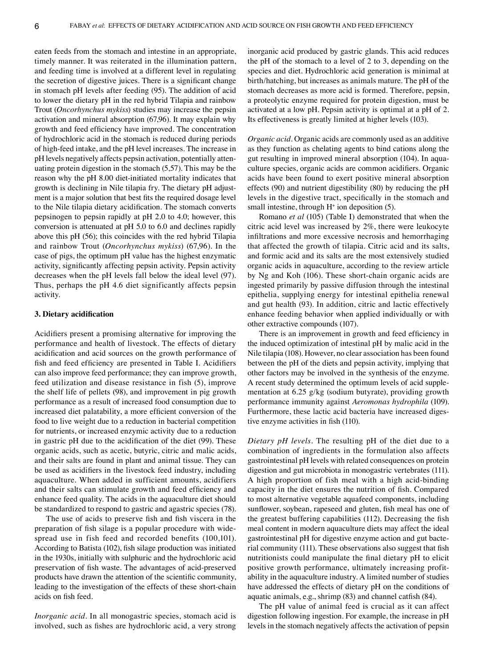eaten feeds from the stomach and intestine in an appropriate, timely manner. It was reiterated in the illumination pattern, and feeding time is involved at a different level in regulating the secretion of digestive juices. There is a significant change in stomach pH levels after feeding (95). The addition of acid to lower the dietary pH in the red hybrid Tilapia and rainbow Trout (*Oncorhynchus mykiss*) studies may increase the pepsin activation and mineral absorption (67,96). It may explain why growth and feed efficiency have improved. The concentration of hydrochloric acid in the stomach is reduced during periods of high‑feed intake, and the pH level increases. The increase in pH levels negatively affects pepsin activation, potentially attenuating protein digestion in the stomach (5,57). This may be the reason why the pH 8.00 diet-initiated mortality indicates that growth is declining in Nile tilapia fry. The dietary pH adjustment is a major solution that best fits the required dosage level to the Nile tilapia dietary acidification. The stomach converts pepsinogen to pepsin rapidly at pH 2.0 to 4.0; however, this conversion is attenuated at pH 5.0 to 6.0 and declines rapidly above this pH (56); this coincides with the red hybrid Tilapia and rainbow Trout (*Oncorhynchus mykiss*) (67,96). In the case of pigs, the optimum pH value has the highest enzymatic activity, significantly affecting pepsin activity. Pepsin activity decreases when the pH levels fall below the ideal level (97). Thus, perhaps the pH 4.6 diet significantly affects pepsin activity.

## **3. Dietary acidification**

Acidifiers present a promising alternative for improving the performance and health of livestock. The effects of dietary acidification and acid sources on the growth performance of fish and feed efficiency are presented in Table I. Acidifiers can also improve feed performance; they can improve growth, feed utilization and disease resistance in fish (5), improve the shelf life of pellets (98), and improvement in pig growth performance as a result of increased food consumption due to increased diet palatability, a more efficient conversion of the food to live weight due to a reduction in bacterial competition for nutrients, or increased enzymic activity due to a reduction in gastric pH due to the acidification of the diet (99). These organic acids, such as acetic, butyric, citric and malic acids, and their salts are found in plant and animal tissue. They can be used as acidifiers in the livestock feed industry, including aquaculture. When added in sufficient amounts, acidifiers and their salts can stimulate growth and feed efficiency and enhance feed quality. The acids in the aquaculture diet should be standardized to respond to gastric and agastric species (78).

The use of acids to preserve fish and fish viscera in the preparation of fish silage is a popular procedure with widespread use in fish feed and recorded benefits (100,101). According to Batista (102), fish silage production was initiated in the 1930s, initially with sulphuric and the hydrochloric acid preservation of fish waste. The advantages of acid‑preserved products have drawn the attention of the scientific community, leading to the investigation of the effects of these short‑chain acids on fish feed.

*Inorganic acid.* In all monogastric species, stomach acid is involved, such as fishes are hydrochloric acid, a very strong inorganic acid produced by gastric glands. This acid reduces the pH of the stomach to a level of 2 to 3, depending on the species and diet. Hydrochloric acid generation is minimal at birth/hatching, but increases as animals mature. The pH of the stomach decreases as more acid is formed. Therefore, pepsin, a proteolytic enzyme required for protein digestion, must be activated at a low pH. Pepsin activity is optimal at a pH of 2. Its effectiveness is greatly limited at higher levels (103).

*Organic acid.* Organic acids are commonly used as an additive as they function as chelating agents to bind cations along the gut resulting in improved mineral absorption (104). In aquaculture species, organic acids are common acidifiers. Organic acids have been found to exert positive mineral absorption effects (90) and nutrient digestibility (80) by reducing the pH levels in the digestive tract, specifically in the stomach and small intestine, through  $H^+$  ion deposition (5).

Romano *et al* (105) (Table I) demonstrated that when the citric acid level was increased by 2%, there were leukocyte infiltrations and more excessive necrosis and hemorrhaging that affected the growth of tilapia. Citric acid and its salts, and formic acid and its salts are the most extensively studied organic acids in aquaculture, according to the review article by Ng and Koh (106). These short-chain organic acids are ingested primarily by passive diffusion through the intestinal epithelia, supplying energy for intestinal epithelia renewal and gut health (93). In addition, citric and lactic effectively enhance feeding behavior when applied individually or with other extractive compounds (107).

There is an improvement in growth and feed efficiency in the induced optimization of intestinal pH by malic acid in the Nile tilapia (108). However, no clear association has been found between the pH of the diets and pepsin activity, implying that other factors may be involved in the synthesis of the enzyme. A recent study determined the optimum levels of acid supplementation at 6.25 g/kg (sodium butyrate), providing growth performance immunity against *Aeromonas hydrophila* (109). Furthermore, these lactic acid bacteria have increased digestive enzyme activities in fish (110).

*Dietary pH levels.* The resulting pH of the diet due to a combination of ingredients in the formulation also affects gastrointestinal pH levels with related consequences on protein digestion and gut microbiota in monogastric vertebrates (111). A high proportion of fish meal with a high acid‑binding capacity in the diet ensures the nutrition of fish. Compared to most alternative vegetable aquafeed components, including sunflower, soybean, rapeseed and gluten, fish meal has one of the greatest buffering capabilities (112). Decreasing the fish meal content in modern aquaculture diets may affect the ideal gastrointestinal pH for digestive enzyme action and gut bacte‑ rial community (111). These observations also suggest that fish nutritionists could manipulate the final dietary pH to elicit positive growth performance, ultimately increasing profitability in the aquaculture industry. A limited number of studies have addressed the effects of dietary pH on the conditions of aquatic animals, e.g., shrimp (83) and channel catfish (84).

The pH value of animal feed is crucial as it can affect digestion following ingestion. For example, the increase in pH levels in the stomach negatively affects the activation of pepsin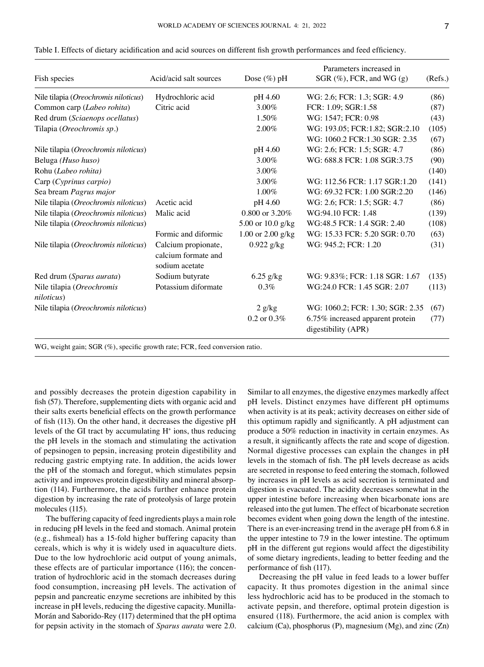| Fish species                                    | Acid/acid salt sources                                       | Dose $(\%)$ pH        | Parameters increased in<br>SGR $(\%)$ , FCR, and WG $(g)$ | (Refs.) |
|-------------------------------------------------|--------------------------------------------------------------|-----------------------|-----------------------------------------------------------|---------|
| Nile tilapia (Oreochromis niloticus)            | Hydrochloric acid                                            | pH 4.60               | WG: 2.6; FCR: 1.3; SGR: 4.9                               | (86)    |
| Common carp (Labeo rohita)                      | Citric acid                                                  | 3.00%                 | FCR: 1.09; SGR:1.58                                       | (87)    |
| Red drum (Sciaenops ocellatus)                  |                                                              | 1.50%                 | WG: 1547; FCR: 0.98                                       | (43)    |
| Tilapia (Oreochromis sp.)                       |                                                              | 2.00%                 | WG: 193.05; FCR:1.82; SGR:2.10                            | (105)   |
|                                                 |                                                              |                       | WG: 1060.2 FCR:1.30 SGR: 2.35                             | (67)    |
| Nile tilapia (Oreochromis niloticus)            |                                                              | pH 4.60               | WG: 2.6; FCR: 1.5; SGR: 4.7                               | (86)    |
| Beluga (Huso huso)                              |                                                              | 3.00%                 | WG: 688.8 FCR: 1.08 SGR:3.75                              | (90)    |
| Rohu (Labeo rohita)                             |                                                              | 3.00%                 |                                                           | (140)   |
| Carp (Cyprinus carpio)                          |                                                              | 3.00%                 | WG: 112.56 FCR: 1.17 SGR:1.20                             | (141)   |
| Sea bream Pagrus major                          |                                                              | $1.00\%$              | WG: 69.32 FCR: 1.00 SGR:2.20                              | (146)   |
| Nile tilapia (Oreochromis niloticus)            | Acetic acid                                                  | pH 4.60               | WG: 2.6; FCR: 1.5; SGR: 4.7                               | (86)    |
| Nile tilapia (Oreochromis niloticus)            | Malic acid                                                   | 0.800 or $3.20\%$     | WG:94.10 FCR: 1.48                                        | (139)   |
| Nile tilapia (Oreochromis niloticus)            |                                                              | 5.00 or 10.0 g/kg     | WG:48.5 FCR: 1.4 SGR: 2.40                                | (108)   |
|                                                 | Formic and diformic                                          | $1.00$ or $2.00$ g/kg | WG: 15.33 FCR: 5.20 SGR: 0.70                             | (63)    |
| Nile tilapia (Oreochromis niloticus)            | Calcium propionate,<br>calcium formate and<br>sodium acetate | $0.922$ g/kg          | WG: 945.2; FCR: 1.20                                      | (31)    |
| Red drum (Sparus aurata)                        | Sodium butyrate                                              | $6.25$ g/kg           | WG: 9.83%; FCR: 1.18 SGR: 1.67                            | (135)   |
| Nile tilapia (Oreochromis<br><i>niloticus</i> ) | Potassium diformate                                          | 0.3%                  | WG:24.0 FCR: 1.45 SGR: 2.07                               | (113)   |
| Nile tilapia (Oreochromis niloticus)            |                                                              | 2 g/kg                | WG: 1060.2; FCR: 1.30; SGR: 2.35                          | (67)    |
|                                                 |                                                              | $0.2$ or $0.3\%$      | 6.75% increased apparent protein<br>digestibility (APR)   | (77)    |

| Table I. Effects of dietary acidification and acid sources on different fish growth performances and feed efficiency |
|----------------------------------------------------------------------------------------------------------------------|
|----------------------------------------------------------------------------------------------------------------------|

WG, weight gain; SGR (%), specific growth rate; FCR, feed conversion ratio.

and possibly decreases the protein digestion capability in fish (57). Therefore, supplementing diets with organic acid and their salts exerts beneficial effects on the growth performance of fish (113). On the other hand, it decreases the digestive pH levels of the GI tract by accumulating H+ ions, thus reducing the pH levels in the stomach and stimulating the activation of pepsinogen to pepsin, increasing protein digestibility and reducing gastric emptying rate. In addition, the acids lower the pH of the stomach and foregut, which stimulates pepsin activity and improves protein digestibility and mineral absorption (114). Furthermore, the acids further enhance protein digestion by increasing the rate of proteolysis of large protein molecules (115).

The buffering capacity of feed ingredients plays a main role in reducing pH levels in the feed and stomach. Animal protein (e.g., fishmeal) has a 15‑fold higher buffering capacity than cereals, which is why it is widely used in aquaculture diets. Due to the low hydrochloric acid output of young animals, these effects are of particular importance (116); the concentration of hydrochloric acid in the stomach decreases during food consumption, increasing pH levels. The activation of pepsin and pancreatic enzyme secretions are inhibited by this increase in pH levels, reducing the digestive capacity. Munilla-Morán and Saborido‑Rey (117) determined that the pH optima for pepsin activity in the stomach of *Sparus aurata* were 2.0. Similar to all enzymes, the digestive enzymes markedly affect pH levels. Distinct enzymes have different pH optimums when activity is at its peak; activity decreases on either side of this optimum rapidly and significantly. A pH adjustment can produce a 50% reduction in inactivity in certain enzymes. As a result, it significantly affects the rate and scope of digestion. Normal digestive processes can explain the changes in pH levels in the stomach of fish. The pH levels decrease as acids are secreted in response to feed entering the stomach, followed by increases in pH levels as acid secretion is terminated and digestion is evacuated. The acidity decreases somewhat in the upper intestine before increasing when bicarbonate ions are released into the gut lumen. The effect of bicarbonate secretion becomes evident when going down the length of the intestine. There is an ever-increasing trend in the average pH from 6.8 in the upper intestine to 7.9 in the lower intestine. The optimum pH in the different gut regions would affect the digestibility of some dietary ingredients, leading to better feeding and the performance of fish (117).

Decreasing the pH value in feed leads to a lower buffer capacity. It thus promotes digestion in the animal since less hydrochloric acid has to be produced in the stomach to activate pepsin, and therefore, optimal protein digestion is ensured (118). Furthermore, the acid anion is complex with calcium (Ca), phosphorus (P), magnesium (Mg), and zinc (Zn)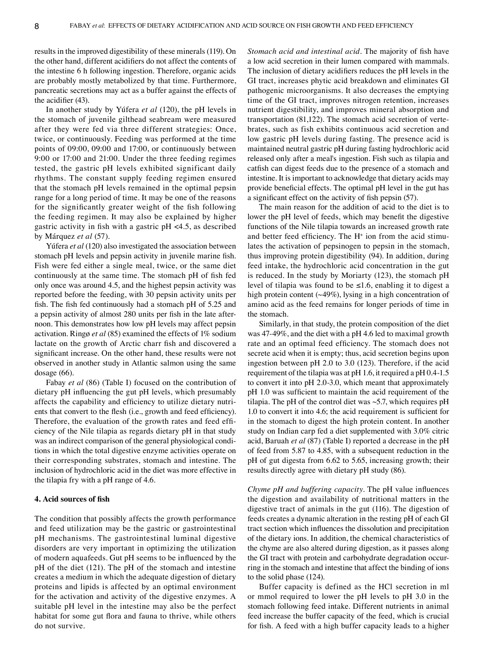results in the improved digestibility of these minerals (119). On the other hand, different acidifiers do not affect the contents of the intestine 6 h following ingestion. Therefore, organic acids are probably mostly metabolized by that time. Furthermore, pancreatic secretions may act as a buffer against the effects of the acidifier (43).

In another study by Yúfera *et al* (120), the pH levels in the stomach of juvenile gilthead seabream were measured after they were fed via three different strategies: Once, twice, or continuously. Feeding was performed at the time points of 09:00, 09:00 and 17:00, or continuously between 9:00 or 17:00 and 21:00. Under the three feeding regimes tested, the gastric pH levels exhibited significant daily rhythms. The constant supply feeding regimen ensured that the stomach pH levels remained in the optimal pepsin range for a long period of time. It may be one of the reasons for the significantly greater weight of the fish following the feeding regimen. It may also be explained by higher gastric activity in fish with a gastric pH <4.5, as described by Márquez *et al* (57).

Yúfera *et al* (120) also investigated the association between stomach pH levels and pepsin activity in juvenile marine fish. Fish were fed either a single meal, twice, or the same diet continuously at the same time. The stomach pH of fish fed only once was around 4.5, and the highest pepsin activity was reported before the feeding, with 30 pepsin activity units per fish. The fish fed continuously had a stomach pH of 5.25 and a pepsin activity of almost 280 units per fish in the late afternoon. This demonstrates how low pH levels may affect pepsin activation. Ringø *et al* (85) examined the effects of 1% sodium lactate on the growth of Arctic charr fish and discovered a significant increase. On the other hand, these results were not observed in another study in Atlantic salmon using the same dosage (66).

Fabay *et al* (86) (Table I) focused on the contribution of dietary pH influencing the gut pH levels, which presumably affects the capability and efficiency to utilize dietary nutrients that convert to the flesh (i.e., growth and feed efficiency). Therefore, the evaluation of the growth rates and feed efficiency of the Nile tilapia as regards dietary pH in that study was an indirect comparison of the general physiological conditions in which the total digestive enzyme activities operate on their corresponding substrates, stomach and intestine. The inclusion of hydrochloric acid in the diet was more effective in the tilapia fry with a pH range of 4.6.

#### **4. Acid sources of fish**

The condition that possibly affects the growth performance and feed utilization may be the gastric or gastrointestinal pH mechanisms. The gastrointestinal luminal digestive disorders are very important in optimizing the utilization of modern aquafeeds. Gut pH seems to be influenced by the pH of the diet (121). The pH of the stomach and intestine creates a medium in which the adequate digestion of dietary proteins and lipids is affected by an optimal environment for the activation and activity of the digestive enzymes. A suitable pH level in the intestine may also be the perfect habitat for some gut flora and fauna to thrive, while others do not survive.

*Stomach acid and intestinal acid.* The majority of fish have a low acid secretion in their lumen compared with mammals. The inclusion of dietary acidifiers reduces the pH levels in the GI tract, increases phytic acid breakdown and eliminates GI pathogenic microorganisms. It also decreases the emptying time of the GI tract, improves nitrogen retention, increases nutrient digestibility, and improves mineral absorption and transportation (81,122). The stomach acid secretion of vertebrates, such as fish exhibits continuous acid secretion and low gastric pH levels during fasting. The presence acid is maintained neutral gastric pH during fasting hydrochloric acid released only after a meal's ingestion. Fish such as tilapia and catfish can digest feeds due to the presence of a stomach and intestine. It is important to acknowledge that dietary acids may provide beneficial effects. The optimal pH level in the gut has a significant effect on the activity of fish pepsin (57).

The main reason for the addition of acid to the diet is to lower the pH level of feeds, which may benefit the digestive functions of the Nile tilapia towards an increased growth rate and better feed efficiency. The  $H^+$  ion from the acid stimulates the activation of pepsinogen to pepsin in the stomach, thus improving protein digestibility (94). In addition, during feed intake, the hydrochloric acid concentration in the gut is reduced. In the study by Moriarty (123), the stomach pH level of tilapia was found to be  $\leq 1.6$ , enabling it to digest a high protein content (~49%), lysing in a high concentration of amino acid as the feed remains for longer periods of time in the stomach.

Similarly, in that study, the protein composition of the diet was 47‑49%, and the diet with a pH 4.6 led to maximal growth rate and an optimal feed efficiency. The stomach does not secrete acid when it is empty; thus, acid secretion begins upon ingestion between pH 2.0 to 3.0 (123). Therefore, if the acid requirement of the tilapia was at pH 1.6, it required a pH 0.4-1.5 to convert it into pH 2.0‑3.0, which meant that approximately pH 1.0 was sufficient to maintain the acid requirement of the tilapia. The pH of the control diet was  $\sim$ 5.7, which requires pH 1.0 to convert it into 4.6; the acid requirement is sufficient for in the stomach to digest the high protein content. In another study on Indian carp fed a diet supplemented with 3.0% citric acid, Baruah *et al* (87) (Table I) reported a decrease in the pH of feed from 5.87 to 4.85, with a subsequent reduction in the pH of gut digesta from 6.62 to 5.65, increasing growth; their results directly agree with dietary pH study (86).

*Chyme pH and buffering capacity.* The pH value influences the digestion and availability of nutritional matters in the digestive tract of animals in the gut (116). The digestion of feeds creates a dynamic alteration in the resting pH of each GI tract section which influences the dissolution and precipitation of the dietary ions. In addition, the chemical characteristics of the chyme are also altered during digestion, as it passes along the GI tract with protein and carbohydrate degradation occurring in the stomach and intestine that affect the binding of ions to the solid phase (124).

Buffer capacity is defined as the HCl secretion in ml or mmol required to lower the pH levels to pH 3.0 in the stomach following feed intake. Different nutrients in animal feed increase the buffer capacity of the feed, which is crucial for fish. A feed with a high buffer capacity leads to a higher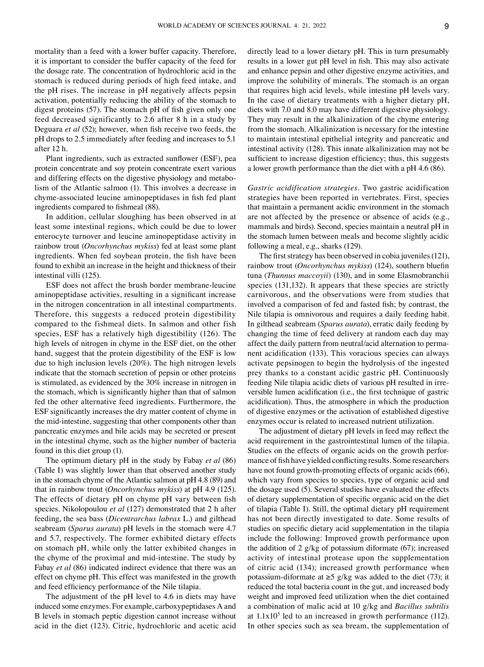mortality than a feed with a lower buffer capacity. Therefore, it is important to consider the buffer capacity of the feed for the dosage rate. The concentration of hydrochloric acid in the stomach is reduced during periods of high feed intake, and the pH rises. The increase in pH negatively affects pepsin activation, potentially reducing the ability of the stomach to digest proteins (57). The stomach pH of fish given only one feed decreased significantly to 2.6 after 8 h in a study by Deguara *et al* (52); however, when fish receive two feeds, the pH drops to 2.5 immediately after feeding and increases to 5.1 after 12 h.

Plant ingredients, such as extracted sunflower (ESF), pea protein concentrate and soy protein concentrate exert various and differing effects on the digestive physiology and metabolism of the Atlantic salmon (1). This involves a decrease in chyme‑associated leucine aminopeptidases in fish fed plant ingredients compared to fishmeal (88).

In addition, cellular sloughing has been observed in at least some intestinal regions, which could be due to lower enterocyte turnover and leucine aminopeptidase activity in rainbow trout (*Oncorhynchus mykiss*) fed at least some plant ingredients. When fed soybean protein, the fish have been found to exhibit an increase in the height and thickness of their intestinal villi (125).

ESF does not affect the brush border membrane‑leucine aminopeptidase activities, resulting in a significant increase in the nitrogen concentration in all intestinal compartments. Therefore, this suggests a reduced protein digestibility compared to the fishmeal diets. In salmon and other fish species, ESF has a relatively high digestibility (126). The high levels of nitrogen in chyme in the ESF diet, on the other hand, suggest that the protein digestibility of the ESF is low due to high inclusion levels (20%). The high nitrogen levels indicate that the stomach secretion of pepsin or other proteins is stimulated, as evidenced by the 30% increase in nitrogen in the stomach, which is significantly higher than that of salmon fed the other alternative feed ingredients. Furthermore, the ESF significantly increases the dry matter content of chyme in the mid-intestine, suggesting that other components other than pancreatic enzymes and bile acids may be secreted or present in the intestinal chyme, such as the higher number of bacteria found in this diet group (1).

The optimum dietary pH in the study by Fabay *et al* (86) (Table I) was slightly lower than that observed another study in the stomach chyme of the Atlantic salmon at pH 4.8 (89) and that in rainbow trout (*Oncorhynchus mykiss*) at pH 4.9 (125). The effects of dietary pH on chyme pH vary between fish species. Nikolopoulou *et al* (127) demonstrated that 2 h after feeding, the sea bass (*Dicentrarchus labrax* L*.*) and gilthead seabream (*Sparus aurata*) pH levels in the stomach were 4.7 and 5.7, respectively. The former exhibited dietary effects on stomach pH, while only the latter exhibited changes in the chyme of the proximal and mid‑intestine. The study by Fabay *et al* (86) indicated indirect evidence that there was an effect on chyme pH. This effect was manifested in the growth and feed efficiency performance of the Nile tilapia.

The adjustment of the pH level to 4.6 in diets may have induced some enzymes. For example, carboxypeptidases A and B levels in stomach peptic digestion cannot increase without acid in the diet (123). Citric, hydrochloric and acetic acid directly lead to a lower dietary pH. This in turn presumably results in a lower gut pH level in fish. This may also activate and enhance pepsin and other digestive enzyme activities, and improve the solubility of minerals. The stomach is an organ that requires high acid levels, while intestine pH levels vary. In the case of dietary treatments with a higher dietary pH, diets with 7.0 and 8.0 may have different digestive physiology. They may result in the alkalinization of the chyme entering from the stomach. Alkalinization is necessary for the intestine to maintain intestinal epithelial integrity and pancreatic and intestinal activity (128). This innate alkalinization may not be sufficient to increase digestion efficiency; thus, this suggests a lower growth performance than the diet with a pH 4.6 (86).

*Gastric acidification strategies.* Two gastric acidification strategies have been reported in vertebrates. First, species that maintain a permanent acidic environment in the stomach are not affected by the presence or absence of acids (e.g., mammals and birds). Second, species maintain a neutral pH in the stomach lumen between meals and become slightly acidic following a meal, e.g., sharks (129).

The first strategy has been observed in cobia juveniles(121), rainbow trout (*Oncorhynchus mykiss*) (124), southern bluefin tuna (*Thunnus maccoyii*) (130), and in some Elasmobranchii species (131,132). It appears that these species are strictly carnivorous, and the observations were from studies that involved a comparison of fed and fasted fish; by contrast, the Nile tilapia is omnivorous and requires a daily feeding habit. In gilthead seabream (*Sparus aurata*), erratic daily feeding by changing the time of feed delivery at random each day may affect the daily pattern from neutral/acid alternation to permanent acidification (133). This voracious species can always activate pepsinogen to begin the hydrolysis of the ingested prey thanks to a constant acidic gastric pH. Continuously feeding Nile tilapia acidic diets of various pH resulted in irreversible lumen acidification (i.e., the first technique of gastric acidification). Thus, the atmosphere in which the production of digestive enzymes or the activation of established digestive enzymes occur is related to increased nutrient utilization.

The adjustment of dietary pH levels in feed may reflect the acid requirement in the gastrointestinal lumen of the tilapia. Studies on the effects of organic acids on the growth performance of fish have yielded conflicting results. Some researchers have not found growth-promoting effects of organic acids (66), which vary from species to species, type of organic acid and the dosage used (5). Several studies have evaluated the effects of dietary supplementation of specific organic acid on the diet of tilapia (Table I). Still, the optimal dietary pH requirement has not been directly investigated to date. Some results of studies on specific dietary acid supplementation in the tilapia include the following: Improved growth performance upon the addition of 2  $g/kg$  of potassium diformate (67); increased activity of intestinal protease upon the supplementation of citric acid (134); increased growth performance when potassium-diformate at  $\geq$ 5 g/kg was added to the diet (73); it reduced the total bacteria count in the gut, and increased body weight and improved feed utilization when the diet contained a combination of malic acid at 10 g/kg and *Bacillus subtilis*  at  $1.1x10<sup>5</sup>$  led to an increased in growth performance (112). In other species such as sea bream, the supplementation of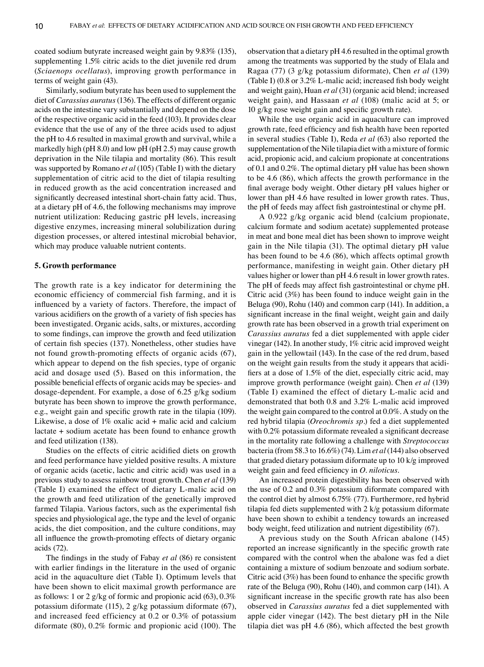coated sodium butyrate increased weight gain by 9.83% (135), supplementing 1.5% citric acids to the diet juvenile red drum (*Sciaenops ocellatus*), improving growth performance in terms of weight gain (43).

Similarly, sodium butyrate has been used to supplement the diet of *Carassius auratus*(136). The effects of different organic acids on the intestine vary substantially and depend on the dose of the respective organic acid in the feed (103). It provides clear evidence that the use of any of the three acids used to adjust the pH to 4.6 resulted in maximal growth and survival, while a markedly high (pH 8.0) and low pH (pH 2.5) may cause growth deprivation in the Nile tilapia and mortality (86). This result was supported by Romano *et al* (105) (Table I) with the dietary supplementation of citric acid to the diet of tilapia resulting in reduced growth as the acid concentration increased and significantly decreased intestinal short-chain fatty acid. Thus, at a dietary pH of 4.6, the following mechanisms may improve nutrient utilization: Reducing gastric pH levels, increasing digestive enzymes, increasing mineral solubilization during digestion processes, or altered intestinal microbial behavior, which may produce valuable nutrient contents.

#### **5. Growth performance**

The growth rate is a key indicator for determining the economic efficiency of commercial fish farming, and it is influenced by a variety of factors. Therefore, the impact of various acidifiers on the growth of a variety of fish species has been investigated. Organic acids, salts, or mixtures, according to some findings, can improve the growth and feed utilization of certain fish species (137). Nonetheless, other studies have not found growth‑promoting effects of organic acids (67), which appear to depend on the fish species, type of organic acid and dosage used (5). Based on this information, the possible beneficial effects of organic acids may be species‑ and dosage‑dependent. For example, a dose of 6.25 g/kg sodium butyrate has been shown to improve the growth performance, e.g., weight gain and specific growth rate in the tilapia (109). Likewise, a dose of  $1\%$  oxalic acid + malic acid and calcium lactate + sodium acetate has been found to enhance growth and feed utilization (138).

Studies on the effects of citric acidified diets on growth and feed performance have yielded positive results. A mixture of organic acids (acetic, lactic and citric acid) was used in a previous study to assess rainbow trout growth. Chen *et al* (139) (Table I) examined the effect of dietary L‑malic acid on the growth and feed utilization of the genetically improved farmed Tilapia. Various factors, such as the experimental fish species and physiological age, the type and the level of organic acids, the diet composition, and the culture conditions, may all influence the growth‑promoting effects of dietary organic acids (72).

The findings in the study of Fabay *et al* (86) re consistent with earlier findings in the literature in the used of organic acid in the aquaculture diet (Table I). Optimum levels that have been shown to elicit maximal growth performance are as follows: 1 or 2 g/kg of formic and propionic acid (63), 0.3% potassium diformate (115), 2 g/kg potassium diformate (67), and increased feed efficiency at 0.2 or 0.3% of potassium diformate (80), 0.2% formic and propionic acid (100). The observation that a dietary pH 4.6 resulted in the optimal growth among the treatments was supported by the study of Elala and Ragaa (77) (3 g/kg potassium diformate), Chen *et al* (139) (Table I) (0.8 or 3.2% L‑malic acid; increased fish body weight and weight gain), Huan *et al* (31) (organic acid blend; increased weight gain), and Hassaan *et al* (108) (malic acid at 5; or 10 g/kg rose weight gain and specific growth rate).

While the use organic acid in aquaculture can improved growth rate, feed efficiency and fish health have been reported in several studies (Table I), Reda *et al* (63) also reported the supplementation of the Nile tilapia diet with a mixture of formic acid, propionic acid, and calcium propionate at concentrations of 0.1 and 0.2%. The optimal dietary pH value has been shown to be 4.6 (86), which affects the growth performance in the final average body weight. Other dietary pH values higher or lower than pH 4.6 have resulted in lower growth rates. Thus, the pH of feeds may affect fish gastrointestinal or chyme pH.

A 0.922 g/kg organic acid blend (calcium propionate, calcium formate and sodium acetate) supplemented protease in meat and bone meal diet has been shown to improve weight gain in the Nile tilapia (31). The optimal dietary pH value has been found to be 4.6 (86), which affects optimal growth performance, manifesting in weight gain. Other dietary pH values higher or lower than pH 4.6 result in lower growth rates. The pH of feeds may affect fish gastrointestinal or chyme pH. Citric acid (3%) has been found to induce weight gain in the Beluga (90), Rohu (140) and common carp (141). In addition, a significant increase in the final weight, weight gain and daily growth rate has been observed in a growth trial experiment on *Carassius auratus* fed a diet supplemented with apple cider vinegar (142). In another study, 1% citric acid improved weight gain in the yellowtail (143). In the case of the red drum, based on the weight gain results from the study it appears that acidifiers at a dose of 1.5% of the diet, especially citric acid, may improve growth performance (weight gain). Chen *et al* (139) (Table I) examined the effect of dietary L‑malic acid and demonstrated that both 0.8 and 3.2% L‑malic acid improved the weight gain compared to the control at 0.0%. A study on the red hybrid tilapia (*Oreochromis sp.*) fed a diet supplemented with 0.2% potassium diformate revealed a significant decrease in the mortality rate following a challenge with *Streptococcus*  bacteria (from 58.3 to 16.6%) (74). Lim *et al* (144) also observed that graded dietary potassium diformate up to 10 k/g improved weight gain and feed efficiency in *O. niloticus*.

An increased protein digestibility has been observed with the use of 0.2 and 0.3% potassium diformate compared with the control diet by almost 6.75% (77). Furthermore, red hybrid tilapia fed diets supplemented with 2 k/g potassium diformate have been shown to exhibit a tendency towards an increased body weight, feed utilization and nutrient digestibility (67).

A previous study on the South African abalone (145) reported an increase significantly in the specific growth rate compared with the control when the abalone was fed a diet containing a mixture of sodium benzoate and sodium sorbate. Citric acid (3%) has been found to enhance the specific growth rate of the Beluga (90), Rohu (140), and common carp (141). A significant increase in the specific growth rate has also been observed in *Carassius auratus* fed a diet supplemented with apple cider vinegar (142). The best dietary pH in the Nile tilapia diet was pH 4.6 (86), which affected the best growth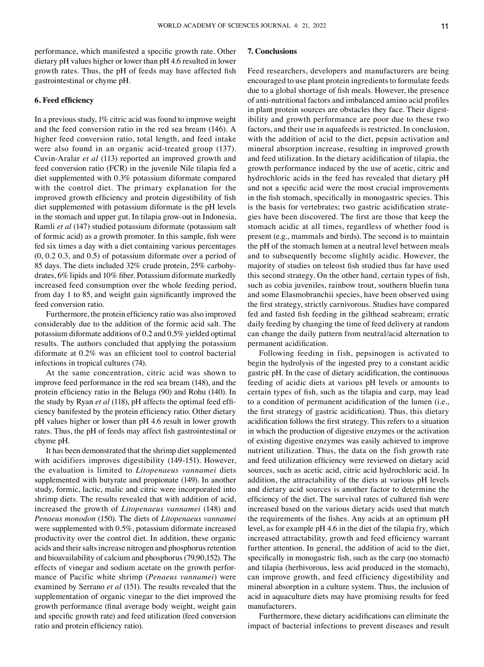performance, which manifested a specific growth rate. Other dietary pH values higher or lower than pH 4.6 resulted in lower growth rates. Thus, the pH of feeds may have affected fish gastrointestinal or chyme pH.

## **6. Feed efficiency**

In a previous study, 1% citric acid was found to improve weight and the feed conversion ratio in the red sea bream (146). A higher feed conversion ratio, total length, and feed intake were also found in an organic acid-treated group (137). Cuvin‑Aralar *et al* (113) reported an improved growth and feed conversion ratio (FCR) in the juvenile Nile tilapia fed a diet supplemented with 0.3% potassium diformate compared with the control diet. The primary explanation for the improved growth efficiency and protein digestibility of fish diet supplemented with potassium diformate is the pH levels in the stomach and upper gut. In tilapia grow-out in Indonesia, Ramli *et al* (147) studied potassium diformate (potassium salt of formic acid) as a growth promoter. In this sample, fish were fed six times a day with a diet containing various percentages (0, 0.2 0.3, and 0.5) of potassium diformate over a period of 85 days. The diets included 32% crude protein, 25% carbohy‑ drates, 6% lipids and 10% fiber. Potassium diformate markedly increased feed consumption over the whole feeding period, from day 1 to 85, and weight gain significantly improved the feed conversion ratio.

Furthermore, the protein efficiency ratio was also improved considerably due to the addition of the formic acid salt. The potassium diformate additions of 0.2 and 0.5% yielded optimal results. The authors concluded that applying the potassium diformate at 0.2% was an efficient tool to control bacterial infections in tropical cultures (74).

At the same concentration, citric acid was shown to improve feed performance in the red sea bream (148), and the protein efficiency ratio in the Beluga (90) and Rohu (140). In the study by Ryan *et al* (118), pH affects the optimal feed efficiency banifested by the protein efficiency ratio. Other dietary pH values higher or lower than pH 4.6 result in lower growth rates. Thus, the pH of feeds may affect fish gastrointestinal or chyme pH.

It has been demonstrated that the shrimp diet supplemented with acidifiers improves digestibility (149-151). However, the evaluation is limited to *Litopenaeus vannamei* diets supplemented with butyrate and propionate (149). In another study, formic, lactic, malic and citric were incorporated into shrimp diets. The results revealed that with addition of acid, increased the growth of *Litopenaeus vannamei* (148) and *Penaeus monodon* (150). The diets of *Litopenaeus vannamei*  were supplemented with 0.5%, potassium diformate increased productivity over the control diet. In addition, these organic acids and their salts increase nitrogen and phosphorus retention and bioavailability of calcium and phosphorus(79,90,152). The effects of vinegar and sodium acetate on the growth performance of Pacific white shrimp (*Penaeus vannamei*) were examined by Serrano *et al* (151). The results revealed that the supplementation of organic vinegar to the diet improved the growth performance (final average body weight, weight gain and specific growth rate) and feed utilization (feed conversion ratio and protein efficiency ratio).

## **7. Conclusions**

Feed researchers, developers and manufacturers are being encouraged to use plant protein ingredients to formulate feeds due to a global shortage of fish meals. However, the presence of anti‑nutritional factors and imbalanced amino acid profiles in plant protein sources are obstacles they face. Their digestibility and growth performance are poor due to these two factors, and their use in aquafeeds is restricted. In conclusion, with the addition of acid to the diet, pepsin activation and mineral absorption increase, resulting in improved growth and feed utilization. In the dietary acidification of tilapia, the growth performance induced by the use of acetic, citric and hydrochloric acids in the feed has revealed that dietary pH and not a specific acid were the most crucial improvements in the fish stomach, specifically in monogastric species. This is the basis for vertebrates; two gastric acidification strategies have been discovered. The first are those that keep the stomach acidic at all times, regardless of whether food is present (e.g., mammals and birds). The second is to maintain the pH of the stomach lumen at a neutral level between meals and to subsequently become slightly acidic. However, the majority of studies on teleost fish studied thus far have used this second strategy. On the other hand, certain types of fish, such as cobia juveniles, rainbow trout, southern bluefin tuna and some Elasmobranchii species, have been observed using the first strategy, strictly carnivorous. Studies have compared fed and fasted fish feeding in the gilthead seabream; erratic daily feeding by changing the time of feed delivery at random can change the daily pattern from neutral/acid alternation to permanent acidification.

Following feeding in fish, pepsinogen is activated to begin the hydrolysis of the ingested prey to a constant acidic gastric pH. In the case of dietary acidification, the continuous feeding of acidic diets at various pH levels or amounts to certain types of fish, such as the tilapia and carp, may lead to a condition of permanent acidification of the lumen (i.e., the first strategy of gastric acidification). Thus, this dietary acidification follows the first strategy. This refers to a situation in which the production of digestive enzymes or the activation of existing digestive enzymes was easily achieved to improve nutrient utilization. Thus, the data on the fish growth rate and feed utilization efficiency were reviewed on dietary acid sources, such as acetic acid, citric acid hydrochloric acid. In addition, the attractability of the diets at various pH levels and dietary acid sources is another factor to determine the efficiency of the diet. The survival rates of cultured fish were increased based on the various dietary acids used that match the requirements of the fishes. Any acids at an optimum pH level, as for example pH 4.6 in the diet of the tilapia fry, which increased attractability, growth and feed efficiency warrant further attention. In general, the addition of acid to the diet, specifically in monogastric fish, such as the carp (no stomach) and tilapia (herbivorous, less acid produced in the stomach), can improve growth, and feed efficiency digestibility and mineral absorption in a culture system. Thus, the inclusion of acid in aquaculture diets may have promising results for feed manufacturers.

Furthermore, these dietary acidifications can eliminate the impact of bacterial infections to prevent diseases and result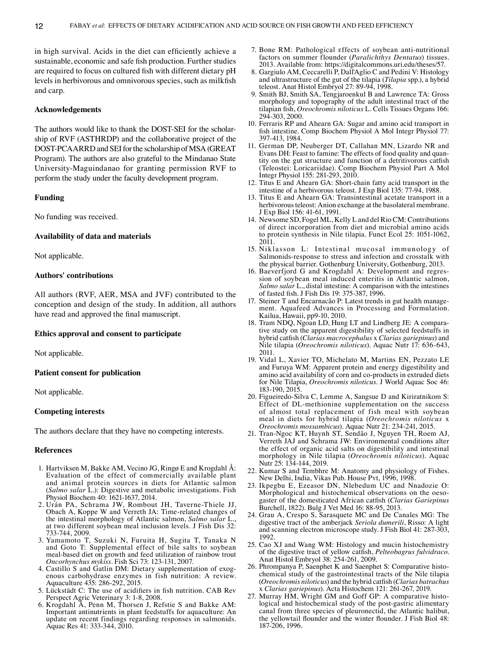in high survival. Acids in the diet can efficiently achieve a sustainable, economic and safe fish production. Further studies are required to focus on cultured fish with different dietary pH levels in herbivorous and omnivorous species, such as milkfish and carp.

#### **Acknowledgements**

The authors would like to thank the DOST-SEI for the scholarship of RVF (ASTHRDP) and the collaborative project of the DOST‑PCAARRD and SEI for the scholarship of MSA (GREAT Program). The authors are also grateful to the Mindanao State University‑Maguindanao for granting permission RVF to perform the study under the faculty development program.

## **Funding**

No funding was received.

#### **Availability of data and materials**

Not applicable.

## **Authors' contributions**

All authors (RVF, AER, MSA and JVF) contributed to the conception and design of the study. In addition, all authors have read and approved the final manuscript.

## **Ethics approval and consent to participate**

Not applicable.

#### **Patient consent for publication**

Not applicable.

## **Competing interests**

The authors declare that they have no competing interests.

#### **References**

- 1. Hartviksen M, Bakke AM, Vecino JG, Ringø E and Krogdahl Å: Evaluation of the effect of commercially available plant and animal protein sources in diets for Atlantic salmon (*Salmo salar* L.): Digestive and metabolic investigations. Fish Physiol Biochem 40: 1621-1637, 2014.
- 2. Urán PA, Schrama JW, Rombout JH, Taverne‑Thiele JJ, Obach A, Koppe W and Verreth JA: Time‑related changes of the intestinal morphology of Atlantic salmon, *Salmo salar* L., at two different soybean meal inclusion levels. J Fish Dis 32: 733‑744, 2009.
- 3. Yamamoto T, Suzuki N, Furuita H, Sugita T, Tanaka N and Goto T: Supplemental effect of bile salts to soybean meal‑based diet on growth and feed utilization of rainbow trout *Oncorhynchus mykiss*. Fish Sci 73: 123‑131, 2007.
- 4. Castillo S and Gatlin DM: Dietary supplementation of exogeneous carbohydrase enzymes in fish nutrition: A review. Aquaculture 435: 286‑292, 2015.
- 5. Lückstädt C: The use of acidifiers in fish nutrition. CAB Rev Perspect Agric Veterinary 3: 1‑8, 2008.
- 6. Krogdahl Å, Penn M, Thorsen J, Refstie S and Bakke AM: Important antinutrients in plant feedstuffs for aquaculture: An update on recent findings regarding responses in salmonids. Aquac Res 41: 333‑344, 2010.
- 7. Bone RM: Pathological effects of soybean anti-nutritional factors on summer flounder (*Paralichthys Dentatus*) tissues. 2013. Available from: https://digitalcommons.uri.edu/theses/57.
- 8. Gargiulo AM, Ceccarelli P, Dall'Aglio C and Pedini V: Histology and ultrastructure of the gut of the tilapia (*Tilapia* spp.), a hybrid teleost. Anat Histol Embryol 27: 89‑94, 1998.
- 9. Smith BJ, Smith SA, Tengjaroenkul B and Lawrence TA: Gross morphology and topography of the adult intestinal tract of the tilapian fish, *Oreochromis niloticus* L. Cells Tissues Organs 166: 294‑303, 2000.
- 10. Ferraris RP and Ahearn GA: Sugar and amino acid transport in fish intestine. Comp Biochem Physiol A Mol Integr Physiol 77: 397‑413, 1984.
- 11. German DP, Neuberger DT, Callahan MN, Lizardo NR and Evans DH: Feast to famine: The effects of food quality and quantity on the gut structure and function of a detritivorous catfish (Teleostei: Loricariidae). Comp Biochem Physiol Part A Mol Integr Physiol 155: 281‑293, 2010.
- 12. Titus E and Ahearn GA: Short‑chain fatty acid transport in the intestine of a herbivorous teleost. J Exp Biol 135: 77‑94, 1988.
- 13. Titus E and Ahearn GA: Transintestinal acetate transport in a herbivorous teleost: Anion exchange at the basolateral membrane. J Exp Biol 156: 41‑61, 1991.
- 14. Newsome SD, Fogel ML, Kelly L and del Rio CM: Contributions of direct incorporation from diet and microbial amino acids to protein synthesis in Nile tilapia. Funct Ecol 25: 1051-1062, 2011.
- 15. Niklasson L: Intestinal mucosal immunology of Salmonids-response to stress and infection and crosstalk with the physical barrier. Gothenburg University, Gothenburg, 2013.
- 16. Baeverfjord G and Krogdahl A: Development and regression of soybean meal induced enteritis in Atlantic salmon, *Salmo salar* L., distal intestine: A comparison with the intestines of fasted fish. J Fish Dis 19: 375‑387, 1996.
- 17. Steiner T and Encarnacão P: Latest trends in gut health management. Aquafeed Advances in Processing and Formulation. Kailua, Hawaii, pp9‑10, 2010.
- 18. Tram NDQ, Ngoan LD, Hung LT and Lindberg JE: A comparative study on the apparent digestibility of selected feedstuffs in hybrid catfish (*Clarias macrocephalus* x *Clarias gariepinus*) and Nile tilapia (*Oreochromis niloticus*). Aquac Nutr 17: 636‑643, 2011.
- 19. Vidal L, Xavier TO, Michelato M, Martins EN, Pezzato LE and Furuya WM: Apparent protein and energy digestibility and amino acid availability of corn and co‑products in extruded diets for Nile Tilapia, *Oreochromis niloticus*. J World Aquac Soc 46: 183‑190, 2015.
- 20. Figueiredo-Silva C, Lemme A, Sangsue D and Kiriratnikom S: Effect of DL-methionine supplementation on the success of almost total replacement of fish meal with soybean meal in diets for hybrid tilapia (*Oreochromis niloticus* x *Oreochromis mossambicus*). Aquac Nutr 21: 234‑241, 2015.
- 21. Tran‑Ngoc KT, Huynh ST, Sendão J, Nguyen TH, Roem AJ, Verreth JAJ and Schrama JW: Environmental conditions alter the effect of organic acid salts on digestibility and intestinal morphology in Nile tilapia (*Oreochromis niloticus*). Aquac Nutr 25: 134‑144, 2019.
- 22. Kumar S and Tembhre M: Anatomy and physiology of Fishes. New Delhi, India, Vikas Pub. House Pvt, 1996, 1998.
- 23. Ikpegbu E, Ezeasor DN, Nlebedum UC and Nnadozie O: Morphological and histochemical observations on the oesogaster of the domesticated African catfish (*Clarias Gariepinus* Burchell, 1822). Bulg J Vet Med 16: 88‑95, 2013.
- 24. Grau A, Crespo S, Sarasquete MC and De Canales MG: The digestive tract of the amberjack *Seriola dumerili*, Risso: A light and scanning electron microscope study. J Fish Biol 41: 287‑303, 1992.
- 25. Cao XJ and Wang WM: Histology and mucin histochemistry of the digestive tract of yellow catfish, *Pelteobagrus fulvidraco*. Anat Histol Embryol 38: 254‑261, 2009.
- 26. Phrompanya P, Saenphet K and Saenphet S: Comparative histochemical study of the gastrointestinal tracts of the Nile tilapia (*Oreochromis niloticus*) and the hybrid catfish (*Clarias batrachus* x *Clarias gariepinus*). Acta Histochem 121: 261‑267, 2019.
- 27. Murray HM, Wright GM and Goff GP: A comparative histological and histochemical study of the post-gastric alimentary canal from three species of pleuronectid, the Atlantic halibut, the yellowtail flounder and the winter flounder. J Fish Biol 48: 187‑206, 1996.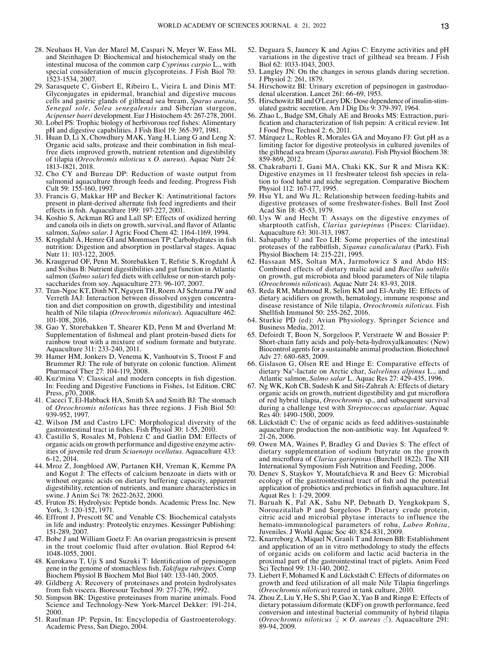- 28. Neuhaus H, Van der Marel M, Caspari N, Meyer W, Enss ML and Steinhagen D: Biochemical and histochemical study on the intestinal mucosa of the common carp *Cyprinus carpio* L., with special consideration of mucin glycoproteins. J Fish Biol 70: 1523‑1534, 2007.
- 29. Sarasquete C, Gisbert E, Ribeiro L, Vieira L and Dinis MT: Glyconjugates in epidermal, branchial and digestive mucous cells and gastric glands of gilthead sea bream, *Sparus aurata*, *Senegal sole*, *Solea senegalensis* and Siberian sturgeon, *Acipenser baeri* development. Eur J Histochem 45: 267‑278, 2001.
- 30. Lobel PS: Trophic biology of herbivorous reef fishes: Alimentary pH and digestive capabilities. J Fish Biol 19: 365‑397, 1981.
- 31. Huan D, Li X, Chowdhury MAK, Yang H, Liang G and Leng X: Organic acid salts, protease and their combination in fish mealfree diets improved growth, nutrient retention and digestibility of tilapia (*Oreochromis niloticus* x *O. aureus*). Aquac Nutr 24: 1813‑1821, 2018.
- 32. Cho CY and Bureau DP: Reduction of waste output from salmonid aquaculture through feeds and feeding. Progress Fish Cult 59: 155‑160, 1997.
- 33. Francis G, Makkar HP and Becker K: Antinutritional factors present in plant‑derived alternate fish feed ingredients and their effects in fish. Aquaculture 199: 197‑227, 2001.
- 34. Koshio S, Ackman RG and Lall SP: Effects of oxidized herring and canola oils in diets on growth, survival, and flavor of Atlantic salmon, *Salmo salar*. J Agric Food Chem 42: 1164‑1169, 1994.
- 35. Krogdahl Å, Hemre GI and Mommsen TP: Carbohydrates in fish nutrition: Digestion and absorption in postlarval stages. Aquac Nutr 11: 103‑122, 2005.
- 36. Kraugerud OF, Penn M, Storebakken T, Refstie S, Krogdahl Å and Svihus B: Nutrient digestibilities and gut function in Atlantic salmon (*Salmo salar*) fed diets with cellulose or non-starch polysaccharides from soy. Aquaculture 273: 96-107, 2007.
- 37. Tran‑Ngoc KT, Dinh NT, Nguyen TH, Roem AJ Schrama JW and Verreth JAJ: Interaction between dissolved oxygen concentra‑ tion and diet composition on growth, digestibility and intestinal health of Nile tilapia (*Oreochromis niloticus*). Aquaculture 462: 101‑108, 2016.
- 38. Gao Y, Storebakken T, Shearer KD, Penn M and Øverland M: Supplementation of fishmeal and plant protein‑based diets for rainbow trout with a mixture of sodium formate and butyrate. Aquaculture 311: 233‑240, 2011.
- 39. Hamer HM, Jonkers D, Venema K, Vanhoutvin S, Troost F and Brummer RJ: The role of butyrate on colonic function. Aliment Pharmacol Ther 27: 104‑119, 2008.
- 40. Kuz'mina V: Classical and modern concepts in fish digestion. In: Feeding and Digestive Functions in Fishes, 1st Edition. CRC Press, p70, 2008.
- 41. Caceci T, El-Habback HA, Smith SA and Smith BJ: The stomach of *Oreochromis niloticus* has three regions. J Fish Biol 50: 939‑952, 1997.
- 42. Wilson JM and Castro LFC: Morphological diversity of the gastrointestinal tract in fishes. Fish Physiol 30: 1‑55, 2010.
- 43. Castillo S, Rosales M, Pohlenz C and Gatlin DM: Effects of organic acids on growth performance and digestive enzyme activities of juvenile red drum *Sciaenops ocellatus*. Aquaculture 433: 6‑12, 2014.
- 44. Mroz Z, Jongbloed AW, Partanen KH, Vreman K, Kemme PA and Kogut J: The effects of calcium benzoate in diets with or without organic acids on dietary buffering capacity, apparent digestibility, retention of nutrients, and manure characteristics in swine. J Anim Sci 78: 2622‑2632, 2000.
- 45. Fruton JS: Hydrolysis: Peptide bonds. Academic Press Inc. New York, 3: 120‑152, 1971.
- 46. Effront J, Prescott SC and Venable CS: Biochemical catalysts in life and industry: Proteolytic enzymes. Kessinger Publishing: 151‑289, 2007.
- 47. Bobe J and William Goetz F: An ovarian progastricsin is present in the trout coelomic fluid after ovulation. Biol Reprod 64: 1048‑1055, 2001.
- 48. Kurokawa T, Uji S and Suzuki T: Identification of pepsinogen gene in the genome of stomachless fish, *Takifugu rubripes*. Comp Biochem Physiol B Biochem Mol Biol 140: 133‑140, 2005.
- 49. Gildberg A: Recovery of proteinases and protein hydrolysates from fish viscera. Bioresour Technol 39: 271‑276, 1992.
- 50. Simpson BK: Digestive proteinases from marine animals. Food Science and Technology-New York-Marcel Dekker: 191-214, 2000.
- 51. Raufman JP: Pepsin, In: Encyclopedia of Gastroenterology. Academic Press, San Diego, 2004.
- 52. Deguara S, Jauncey K and Agius C: Enzyme activities and pH variations in the digestive tract of gilthead sea bream. J Fish Biol 62: 1033‑1043, 2003.
- 53. Langley JN: On the changes in serous glands during secretion. J Physiol 2: 261, 1879.
- 54. Hirschowitz BI: Urinary excretion of pepsinogen in gastroduodenal ulceration. Lancet 261: 66‑69, 1953.
- 55. Hirschowitz BI and O'Leary DK: Dose dependence of insulin-stimulated gastric secretion. Am J Dig Di*s* 9: 379‑397, 1964.
- 56. Zhao L, Budge SM, Ghaly AE and Brooks MS: Extraction, puri‑ fication and characterization of fish pepsin: A critical review. Int J Food Proc Technol 2: 6, 2011.
- 57. Márquez L, Robles R, Morales GA and Moyano FJ: Gut pH as a limiting factor for digestive proteolysis in cultured juveniles of the gilthead sea bream (*Sparus aurata*). Fish Physiol Biochem 38: 859‑869, 2012.
- 58. Chakrabarti I, Gani MA, Chaki KK, Sur R and Misra KK: Digestive enzymes in 11 freshwater teleost fish species in relation to food habit and niche segregation. Comparative Biochem Physiol 112: 167‑177, 1995.
- 59. Hsu YL and Wu JL: Relationship between feeding-habits and digestive proteases of some freshwater‑fishes. Bull Inst Zool Acad Sin 18: 45‑53, 1979.
- 60. Uys W and Hecht T: Assays on the digestive enzymes of sharptooth catfish, *Clarias gariepinus* (Pisces: Clariidae). Aquaculture 63: 301‑313, 1987.
- 61. Sabapathy U and Teo LH: Some properties of the intestinal proteases of the rabbitfish, *Siganus canaliculatus* (Park). Fish Physiol Biochem 14: 215‑221, 1995.
- 62. Hassaan MS, Soltan MA, Jarmołowicz S and Abdo HS: Combined effects of dietary malic acid and *Bacillus subtilis*  on growth, gut microbiota and blood parameters of Nile tilapia (*Oreochromis niloticus*). Aquac Nutr 24: 83‑93, 2018.
- 63. Reda RM, Mahmoud R, Selim KM and El‑Araby IE: Effects of dietary acidifiers on growth, hematology, immune response and disease resistance of Nile tilapia, *Oreochromis niloticus*. Fish Shellfish Immunol 50: 255‑262, 2016.
- 64. Sturkie PD (ed): Avian Physiology. Springer Science and Business Media, 2012.
- 65. Defoirdt T, Boon N, Sorgeloos P, Verstraete W and Bossier P: Short‑chain fatty acids and poly‑beta‑hydroxyalkanoates: (New) Biocontrol agents for a sustainable animal production. Biotechnol Adv 27: 680‑685, 2009.
- 66. Gislason G, Olsen RE and Hinge E: Comparative effects of dietary Na+-lactate on Arctic char, *Salvelinus alpinus* L., and Atlantic salmon, *Salmo salar* L. Aquac Res 27: 429‑435, 1996.
- 67. Ng WK, Koh CB, Sudesh K and Siti-Zahrah A: Effects of dietary organic acids on growth, nutrient digestibility and gut microflora of red hybrid tilapia, *Oreochromis* sp., and subsequent survival during a challenge test with *Streptococcus agalactiae*. Aquac Res 40: 1490‑1500, 2009.
- 68. Lückstädt C: Use of organic acids as feed additives‑sustainable aquaculture production the non‑antibiotic way. Int Aquafeed 9: 21‑26, 2006.
- 69. Owen MA, Waines P, Bradley G and Davies S: The effect of dietary supplementation of sodium butyrate on the growth and microflora of *Clarias gariepinus* (Burchell 1822). The XII International Symposium Fish Nutrition and Feeding, 2006.
- 70. Denev S, Staykov Y, Moutafchieva R and Beev G: Microbial ecology of the gastrointestinal tract of fish and the potential application of probiotics and prebiotics in finfish aquaculture. Int Aquat Res 1: 1‑29, 2009.
- 71. Baruah K, Pal AK, Sahu NP, Debnath D, Yengkokpam S, Norouzitallab P and Sorgeloos P: Dietary crude protein, citric acid and microbial phytase interacts to influence the hemato‑immunological parameters of rohu, *Labeo Rohita*, Juveniles. J World Aquac Soc 40: 824‑831, 2009.
- 72. Knarreborg A, Miquel N, Granli T and Jensen BB: Establishment and application of an in vitro methodology to study the effects of organic acids on coliform and lactic acid bacteria in the proximal part of the gastrointestinal tract of piglets. Anim Feed Sci Technol 99: 131‑140, 2002.
- 73. Liebert F, Mohamed K and Lückstädt C: Effects of diformates on growth and feed utilization of all male Nile Tilapia fingerlings (*Oreochromis niloticus*) reared in tank culture, 2010.
- 74. Zhou Z, Liu Y, He S, Shi P, Gao X, Yao B and Ringø E: Effects of dietary potassium diformate (KDF) on growth performance, feed conversion and intestinal bacterial community of hybrid tilapia (*Oreochromis niloticus*  $\varphi \times O$ . *aureus*  $\varphi$ ). Aquaculture 291: 89‑94, 2009.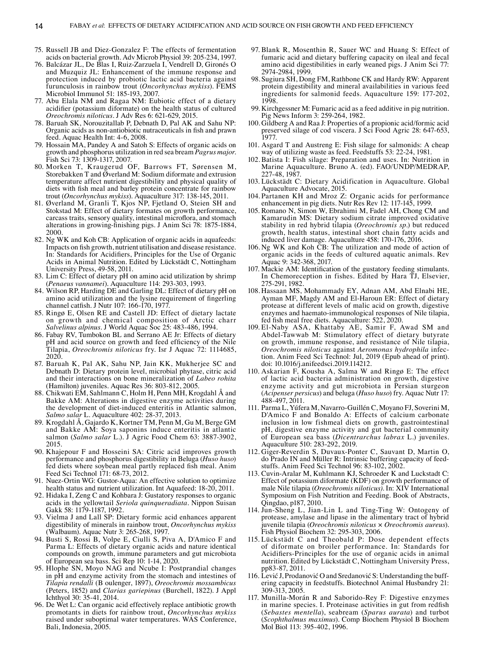- 75. Russell JB and Diez‑Gonzalez F: The effects of fermentation acids on bacterial growth. Adv Microb Physiol 39: 205‑234, 1997.
- 76. Balcázar JL, De Blas I, Ruiz‑Zarzuela I, Vendrell D, Gironés O and Muzquiz JL: Enhancement of the immune response and protection induced by probiotic lactic acid bacteria against furunculosis in rainbow trout (*Oncorhynchus mykiss*). FEMS Microbiol Immunol 51: 185‑193, 2007.
- 77. Abu Elala NM and Ragaa NM: Eubiotic effect of a dietary acidifier (potassium diformate) on the health status of cultured *Oreochromis niloticus*. J Adv Res 6: 621‑629, 2015.
- 78. Baruah SK, Norouzitallab P, Debnath D, Pal AK and Sahu NP: Organic acids as non‑antiobiotic nutraceuticals in fish and prawn feed. Aquac Health Int: 4‑6, 2008.
- 79. Hossain MA, Pandey A and Satoh S: Effects of organic acids on growth and phosphorus utilization in red sea bream *Pagrus major*. Fish Sci 73: 1309‑1317, 2007.
- 80. Morken T, Kraugerud OF, Barrows FT, Sørensen M, Storebakken T and  $\bar{\varrho}$  verland M: Sodium diformate and extrusion temperature affect nutrient digestibility and physical quality of diets with fish meal and barley protein concentrate for rainbow trout (*Oncorhynchus mykiss*). Aquaculture 317: 138‑145, 2011.
- 81. Øverland M, Granli T, Kjos NP, Fjetland O, Steien SH and Stokstad M: Effect of dietary formates on growth performance, carcass traits, sensory quality, intestinal microflora, and stomach alterations in growing‑finishing pigs. J Anim Sci 78: 1875‑1884, 2000.
- 82. Ng WK and Koh CB: Application of organic acids in aquafeeds: Impacts on fish growth, nutrient utilisation and disease resistance. In: Standards for Acidifiers, Principles for the Use of Organic Acids in Animal Nutrition. Edited by Lückstädt C, Nottingham University Press, 49‑58, 2011.
- 83. Lim C: Effect of dietary pH on amino acid utilization by shrimp (*Penaeus vannamei*). Aquaculture 114: 293‑303, 1993.
- 84. Wilson RP, Harding DE and Garling DL: Effect of dietary pH on amino acid utilization and the lysine requirement of fingerling channel catfish. J Nutr 107: 166‑170, 1977.
- 85. Ringø E, Olsen RE and Castell JD: Effect of dietary lactate on growth and chemical composition of Arctic charr *Salvelinus alpinus*. J World Aquac Soc 25: 483‑486, 1994.
- 86. Fabay RV, Tumbokon BL and Serrano AE Jr: Effects of dietary pH and acid source on growth and feed efficiency of the Nile Tilapia, *Oreochromis niloticus* fry. Isr J Aquac 72: 1114685, 2020.
- 87. Baruah K, Pal AK, Sahu NP, Jain KK, Mukherjee SC and Debnath D: Dietary protein level, microbial phytase, citric acid and their interactions on bone mineralization of *Labeo rohita* (Hamilton) juveniles. Aquac Res 36: 803‑812, 2005.
- 88. Chikwati EM, Sahlmann C, Holm H, Penn MH, Krogdahl Å and Bakke AM: Alterations in digestive enzyme activities during the development of diet‑induced enteritis in Atlantic salmon, *Salmo salar* L. Aquaculture 402: 28‑37, 2013.
- 89. Krogdahl Å, Gajardo K, Kortner TM, Penn M, Gu M, Berge GM and Bakke AM: Soya saponins induce enteritis in atlantic salmon (*Salmo salar* L.). J Agric Food Chem 63: 3887‑3902, 2015.
- 90. Khajepour F and Hosseini SA: Citric acid improves growth performance and phosphorus digestibility in Beluga (*Huso huso*) fed diets where soybean meal partly replaced fish meal. Anim Feed Sci Technol 171: 68‑73, 2012.
- 91. Nuez-Ortin WG: Gustor-Aqua: An effective solution to optimize health status and nutrient utilization. Int Aquafeed: 18‑20, 2011.
- 92. Hidaka I, Zeng C and Kohbara J: Gustatory responses to organic acids in the yellowtail *Seriola quinqueradiata*. Nippon Suisan Gakk 58: 1179‑1187, 1992.
- 93. Vielma J and Lall SP: Dietary formic acid enhances apparent digestibility of minerals in rainbow trout, *Oncorhynchus mykiss* (Walbaum). Aquac Nutr 3: 265‑268, 1997.
- 94. Busti S, Rossi B, Volpe E, Ciulli S, Piva A, D'Amico F and Parma L: Effects of dietary organic acids and nature identical compounds on growth, immune parameters and gut microbiota of European sea bass. Sci Rep 10: 1‑14, 2020.
- 95. Hlophe SN, Moyo NAG and Ncube I: Postprandial changes in pH and enzyme activity from the stomach and intestines of *Tilapia rendalli* (B oulenger, 1897), *Oreochromis mossambicus* (Peters, 1852) and *Clarias gariepinus* (Burchell, 1822). J Appl Ichthyol 30: 35‑41, 2014.
- 96. De Wet L: Can organic acid effectively replace antibiotic growth promotants in diets for rainbow trout, *Oncorhynchus mykiss* raised under suboptimal water temperatures. WAS Conference, Bali, Indonesia, 2005.
- 97. Blank R, Mosenthin R, Sauer WC and Huang S: Effect of fumaric acid and dietary buffering capacity on ileal and fecal amino acid digestibilities in early weaned pigs. J Anim Sci 77: 2974‑2984, 1999.
- 98.Sugiura SH, Dong FM, Rathbone CK and Hardy RW: Apparent protein digestibility and mineral availabilities in various feed ingredients for salmonid feeds. Aquaculture 159: 177‑202, 1998.
- 99. Kirchgessner M: Fumaric acid as a feed additive in pig nutrition. Pig News Inform 3: 259‑264, 1982.
- 100. Gildberg A and Raa J: Properties of a propionic acid/formic acid preserved silage of cod viscera. J Sci Food Agric 28: 647-653, 1977.
- 101. Asgard T and Austreng E: Fish silage for salmonids: A cheap way of utilizing waste as feed. Feedstuffs 53: 22‑24, 1981.
- 102. Batista I: Fish silage: Preparation and uses. In: Nutrition in Marine Aquaculture. Bruno A. (ed). FAO/UNDP/MEDRAP, 227‑48, 1987.
- 103. Lückstädt C: Dietary Acidification in Aquaculture. Global Aquaculture Advocate, 2015.
- 104. Partanen KH and Mroz Z: Organic acids for performance enhancement in pig diets. Nutr Res Rev 12: 117‑145, 1999.
- 105. Romano N, Simon W, Ebrahimi M, Fadel AH, Chong CM and Kamarudin MS: Dietary sodium citrate improved oxidative stability in red hybrid tilapia (*Oreochromis sp*.) but reduced growth, health status, intestinal short chain fatty acids and induced liver damage. Aquaculture 458: 170‑176, 2016.
- 106. Ng WK and Koh CB: The utilization and mode of action of organic acids in the feeds of cultured aquatic animals. Rev Aquac 9: 342‑368, 2017.
- 107. Mackie AM: Identification of the gustatory feeding stimulants. In Chemoreception in fishes. Edited by Hara TJ, Elsevier, 275‑291, 1982.
- 108. Hassaan MS, Mohammady EY, Adnan AM, Abd Elnabi HE, Ayman MF, Magdy AM and El‑Haroun ER: Effect of dietary protease at different levels of malic acid on growth, digestive enzymes and haemato‑immunological responses of Nile tilapia, fed fish meal free diets. Aquaculture: 522, 2020.
- 109. El‑Naby ASA, Khattaby AE, Samir F, Awad SM and Abdel-Tawwab M: Stimulatory effect of dietary butyrate on growth, immune response, and resistance of Nile tilapia, *Oreochromis niloticus* against *Aeromonas hydrophila* infec‑ tion. Anim Feed Sci Technol: Jul, 2019 (Epub ahead of print). doi: 10.1016/j.anifeedsci.2019.114212.
- 110. Askarian F, Kousha A, Salma W and Ringø E: The effect of lactic acid bacteria administration on growth, digestive enzyme activity and gut microbiota in Persian sturgeon (*Acipenser persicus*) and beluga (*Huso huso*) fry. Aquac Nutr 17: 488‑497, 2011.
- 111. Parma L, Yúfera M, Navarro‑Guillén C, Moyano FJ, Soverini M, D'Amico F and Bonaldo A: Effects of calcium carbonate inclusion in low fishmeal diets on growth, gastrointestinal pH, digestive enzyme activity and gut bacterial community of European sea bass (*Dicentrarchus labrax* L.) juveniles. Aquaculture 510: 283‑292, 2019.
- 112. Giger‑Reverdin S, Duvaux‑Ponter C, Sauvant D, Martin O, do Prado IN and Müller R: Intrinsic buffering capacity of feedstuffs. Anim Feed Sci Technol 96: 83‑102, 2002.
- 113. Cuvin‑Aralar M, Kuhlmann KJ, Schroeder K and Luckstadt C: Effect of potassium diformate (KDF) on growth performance of male Nile tilapia (*Oreochromis niloticus)*. In: XIV International Symposium on Fish Nutrition and Feeding. Book of Abstracts, Qingdao, p187, 2010.
- 114. Jun‑Sheng L, Jian‑Lin L and Ting‑Ting W: Ontogeny of protease, amylase and lipase in the alimentary tract of hybrid juvenile tilapia (*Oreochromis niloticus* × *Oreochromis aureus*). Fish Physiol Biochem 32: 295‑303, 2006.
- 115. Lückstädt C and Theobald P: Dose dependent effects of diformate on broiler performance. In: Standards for Acidifiers‑Principles for the use of organic acids in animal nutrition. Edited by Lückstädt C, Nottingham University Press, pp83‑87, 2011.
- 116. Lević J, Prodanović O and Sredanović S: Understanding the buff‑ ering capacity in feedstuffs. Biotechnol Animal Husbandry 21: 309‑313, 2005.
- 117. Munilla‑Morán R and Saborido‑Rey F: Digestive enzymes in marine species. I. Proteinase activities in gut from redfish (*Sebastes mentella*), seabream (*Sparus aurata*) and turbot (*Scophthalmus maximus*). Comp Biochem Physiol B Biochem Mol Biol 113: 395‑402, 1996.